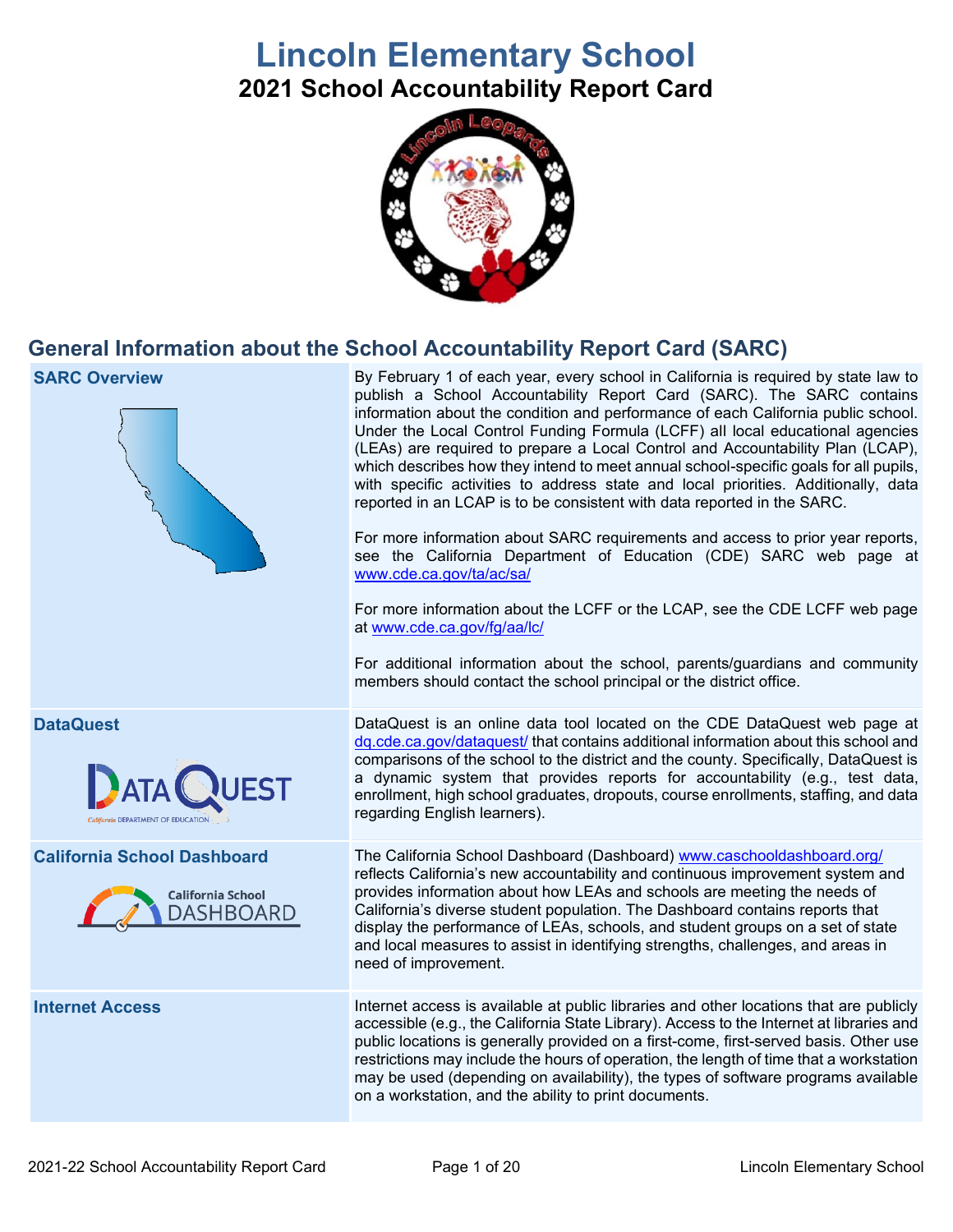# **Lincoln Elementary School 2021 School Accountability Report Card**



# **General Information about the School Accountability Report Card (SARC)**

| <b>SARC Overview</b>                                                               | By February 1 of each year, every school in California is required by state law to<br>publish a School Accountability Report Card (SARC). The SARC contains<br>information about the condition and performance of each California public school.<br>Under the Local Control Funding Formula (LCFF) all local educational agencies<br>(LEAs) are required to prepare a Local Control and Accountability Plan (LCAP),<br>which describes how they intend to meet annual school-specific goals for all pupils,<br>with specific activities to address state and local priorities. Additionally, data<br>reported in an LCAP is to be consistent with data reported in the SARC.<br>For more information about SARC requirements and access to prior year reports,<br>see the California Department of Education (CDE) SARC web page at<br>www.cde.ca.gov/ta/ac/sa/<br>For more information about the LCFF or the LCAP, see the CDE LCFF web page<br>at www.cde.ca.gov/fg/aa/lc/<br>For additional information about the school, parents/guardians and community<br>members should contact the school principal or the district office. |
|------------------------------------------------------------------------------------|-------------------------------------------------------------------------------------------------------------------------------------------------------------------------------------------------------------------------------------------------------------------------------------------------------------------------------------------------------------------------------------------------------------------------------------------------------------------------------------------------------------------------------------------------------------------------------------------------------------------------------------------------------------------------------------------------------------------------------------------------------------------------------------------------------------------------------------------------------------------------------------------------------------------------------------------------------------------------------------------------------------------------------------------------------------------------------------------------------------------------------------|
| <b>DataQuest</b><br>California DEPARTMENT OF EDUCATION                             | DataQuest is an online data tool located on the CDE DataQuest web page at<br>dq.cde.ca.gov/dataquest/ that contains additional information about this school and<br>comparisons of the school to the district and the county. Specifically, DataQuest is<br>a dynamic system that provides reports for accountability (e.g., test data,<br>enrollment, high school graduates, dropouts, course enrollments, staffing, and data<br>regarding English learners).                                                                                                                                                                                                                                                                                                                                                                                                                                                                                                                                                                                                                                                                      |
| <b>California School Dashboard</b><br><b>California School</b><br><b>DASHBOARD</b> | The California School Dashboard (Dashboard) www.caschooldashboard.org/<br>reflects California's new accountability and continuous improvement system and<br>provides information about how LEAs and schools are meeting the needs of<br>California's diverse student population. The Dashboard contains reports that<br>display the performance of LEAs, schools, and student groups on a set of state<br>and local measures to assist in identifying strengths, challenges, and areas in<br>need of improvement.                                                                                                                                                                                                                                                                                                                                                                                                                                                                                                                                                                                                                   |
| <b>Internet Access</b>                                                             | Internet access is available at public libraries and other locations that are publicly<br>accessible (e.g., the California State Library). Access to the Internet at libraries and<br>public locations is generally provided on a first-come, first-served basis. Other use<br>restrictions may include the hours of operation, the length of time that a workstation<br>may be used (depending on availability), the types of software programs available<br>on a workstation, and the ability to print documents.                                                                                                                                                                                                                                                                                                                                                                                                                                                                                                                                                                                                                 |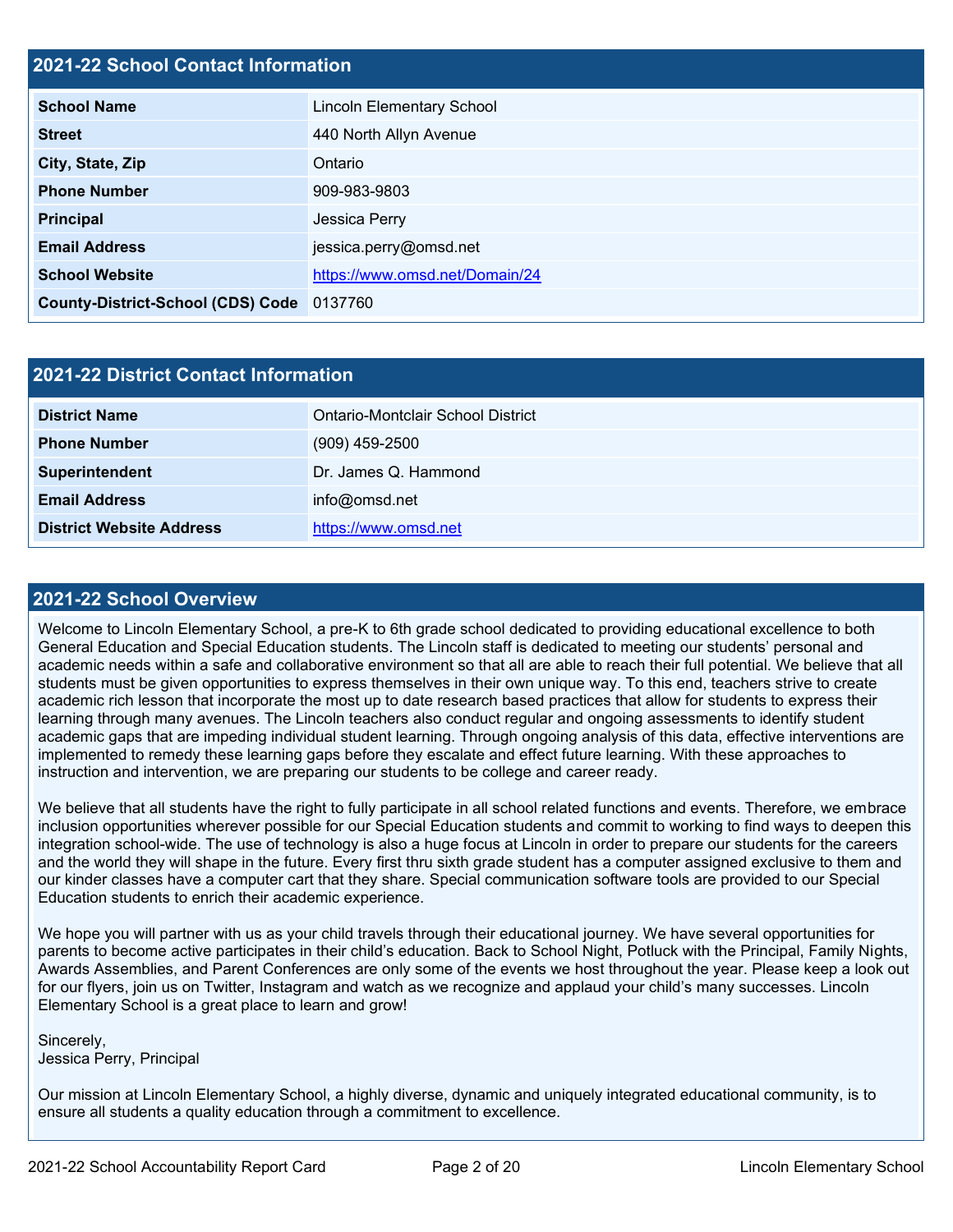# **2021-22 School Contact Information**

| <b>School Name</b>                       | <b>Lincoln Elementary School</b> |
|------------------------------------------|----------------------------------|
| <b>Street</b>                            | 440 North Allyn Avenue           |
| City, State, Zip                         | Ontario                          |
| <b>Phone Number</b>                      | 909-983-9803                     |
| <b>Principal</b>                         | Jessica Perry                    |
| <b>Email Address</b>                     | jessica.perry@omsd.net           |
| <b>School Website</b>                    | https://www.omsd.net/Domain/24   |
| <b>County-District-School (CDS) Code</b> | 0137760                          |

| 2021-22 District Contact Information |                                   |  |  |  |
|--------------------------------------|-----------------------------------|--|--|--|
| <b>District Name</b>                 | Ontario-Montclair School District |  |  |  |
| <b>Phone Number</b>                  | $(909)$ 459-2500                  |  |  |  |
| Superintendent                       | Dr. James Q. Hammond              |  |  |  |
| <b>Email Address</b>                 | info@omsd.net                     |  |  |  |
| <b>District Website Address</b>      | https://www.omsd.net              |  |  |  |

#### **2021-22 School Overview**

Welcome to Lincoln Elementary School, a pre-K to 6th grade school dedicated to providing educational excellence to both General Education and Special Education students. The Lincoln staff is dedicated to meeting our students' personal and academic needs within a safe and collaborative environment so that all are able to reach their full potential. We believe that all students must be given opportunities to express themselves in their own unique way. To this end, teachers strive to create academic rich lesson that incorporate the most up to date research based practices that allow for students to express their learning through many avenues. The Lincoln teachers also conduct regular and ongoing assessments to identify student academic gaps that are impeding individual student learning. Through ongoing analysis of this data, effective interventions are implemented to remedy these learning gaps before they escalate and effect future learning. With these approaches to instruction and intervention, we are preparing our students to be college and career ready.

We believe that all students have the right to fully participate in all school related functions and events. Therefore, we embrace inclusion opportunities wherever possible for our Special Education students and commit to working to find ways to deepen this integration school-wide. The use of technology is also a huge focus at Lincoln in order to prepare our students for the careers and the world they will shape in the future. Every first thru sixth grade student has a computer assigned exclusive to them and our kinder classes have a computer cart that they share. Special communication software tools are provided to our Special Education students to enrich their academic experience.

We hope you will partner with us as your child travels through their educational journey. We have several opportunities for parents to become active participates in their child's education. Back to School Night, Potluck with the Principal, Family Nights, Awards Assemblies, and Parent Conferences are only some of the events we host throughout the year. Please keep a look out for our flyers, join us on Twitter, Instagram and watch as we recognize and applaud your child's many successes. Lincoln Elementary School is a great place to learn and grow!

Sincerely, Jessica Perry, Principal

Our mission at Lincoln Elementary School, a highly diverse, dynamic and uniquely integrated educational community, is to ensure all students a quality education through a commitment to excellence.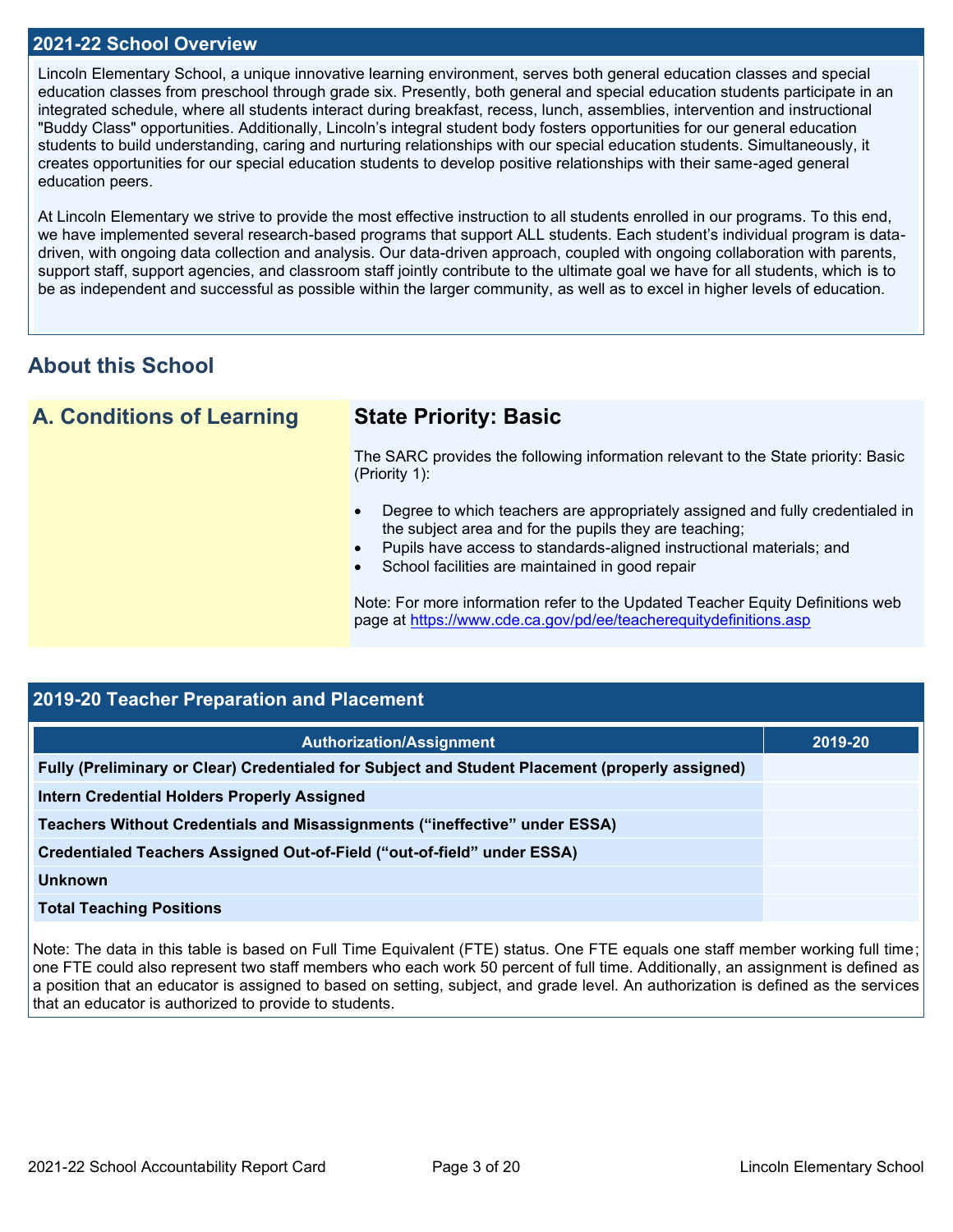#### **2021-22 School Overview**

Lincoln Elementary School, a unique innovative learning environment, serves both general education classes and special education classes from preschool through grade six. Presently, both general and special education students participate in an integrated schedule, where all students interact during breakfast, recess, lunch, assemblies, intervention and instructional "Buddy Class" opportunities. Additionally, Lincoln's integral student body fosters opportunities for our general education students to build understanding, caring and nurturing relationships with our special education students. Simultaneously, it creates opportunities for our special education students to develop positive relationships with their same-aged general education peers.

At Lincoln Elementary we strive to provide the most effective instruction to all students enrolled in our programs. To this end, we have implemented several research-based programs that support ALL students. Each student's individual program is datadriven, with ongoing data collection and analysis. Our data-driven approach, coupled with ongoing collaboration with parents, support staff, support agencies, and classroom staff jointly contribute to the ultimate goal we have for all students, which is to be as independent and successful as possible within the larger community, as well as to excel in higher levels of education.

# **About this School**

**A. Conditions of Learning State Priority: Basic**

The SARC provides the following information relevant to the State priority: Basic (Priority 1):

- Degree to which teachers are appropriately assigned and fully credentialed in the subject area and for the pupils they are teaching;
- Pupils have access to standards-aligned instructional materials; and
- School facilities are maintained in good repair

Note: For more information refer to the Updated Teacher Equity Definitions web page at<https://www.cde.ca.gov/pd/ee/teacherequitydefinitions.asp>

| 2019-20 Teacher Preparation and Placement |  |  |  |  |
|-------------------------------------------|--|--|--|--|
| 2019-20                                   |  |  |  |  |
|                                           |  |  |  |  |
|                                           |  |  |  |  |
|                                           |  |  |  |  |
|                                           |  |  |  |  |
|                                           |  |  |  |  |
|                                           |  |  |  |  |
|                                           |  |  |  |  |

Note: The data in this table is based on Full Time Equivalent (FTE) status. One FTE equals one staff member working full time; one FTE could also represent two staff members who each work 50 percent of full time. Additionally, an assignment is defined as a position that an educator is assigned to based on setting, subject, and grade level. An authorization is defined as the services that an educator is authorized to provide to students.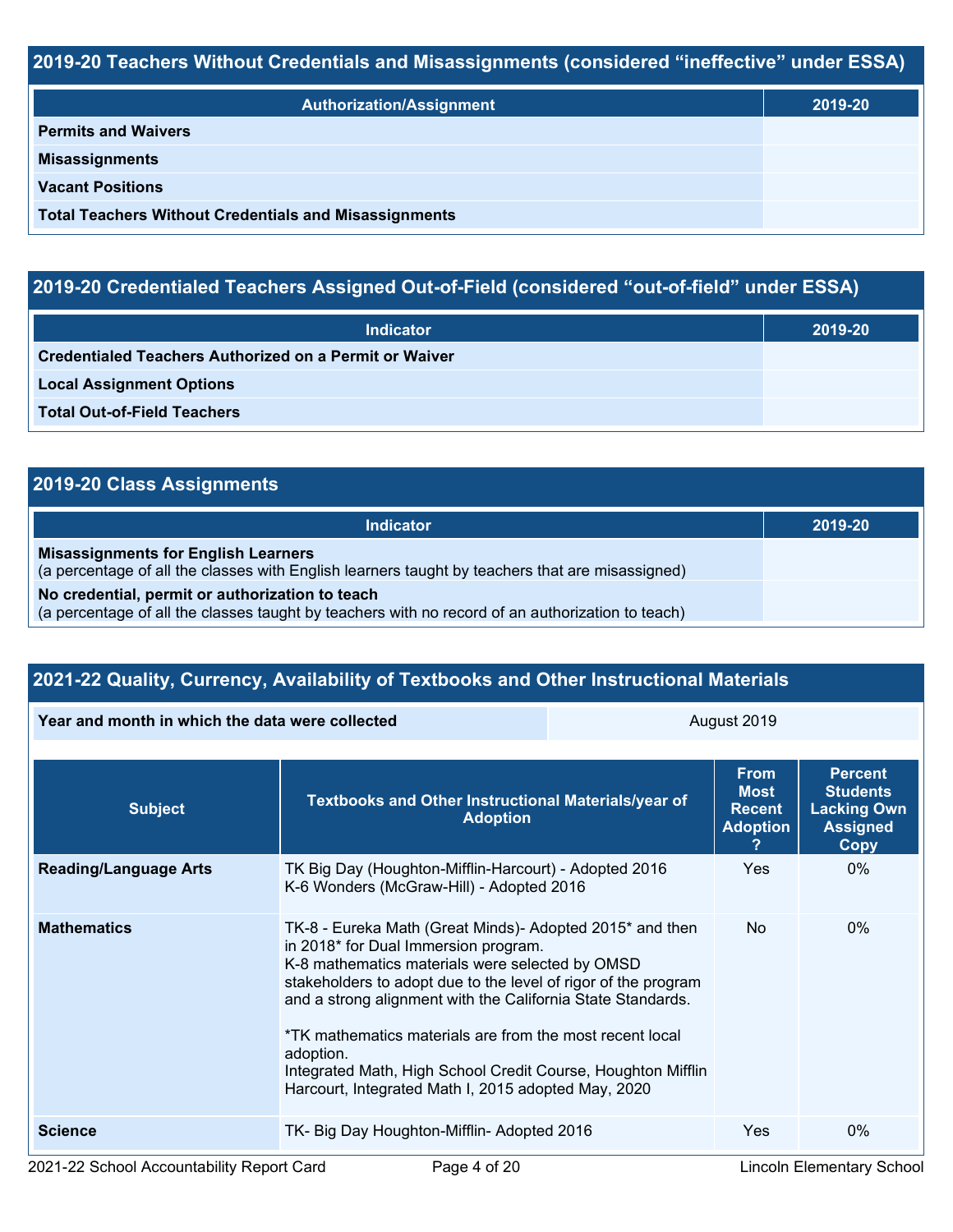# **2019-20 Teachers Without Credentials and Misassignments (considered "ineffective" under ESSA)**

| <b>Authorization/Assignment</b>                              | 2019-20 |
|--------------------------------------------------------------|---------|
| <b>Permits and Waivers</b>                                   |         |
| <b>Misassignments</b>                                        |         |
| <b>Vacant Positions</b>                                      |         |
| <b>Total Teachers Without Credentials and Misassignments</b> |         |

# **2019-20 Credentialed Teachers Assigned Out-of-Field (considered "out-of-field" under ESSA)**

| <b>Indicator</b>                                       | 2019-20 |
|--------------------------------------------------------|---------|
| Credentialed Teachers Authorized on a Permit or Waiver |         |
| <b>Local Assignment Options</b>                        |         |
| <b>Total Out-of-Field Teachers</b>                     |         |

# **2019-20 Class Assignments**

| Indicator                                                                                                                                           | 2019-20 |
|-----------------------------------------------------------------------------------------------------------------------------------------------------|---------|
| <b>Misassignments for English Learners</b><br>(a percentage of all the classes with English learners taught by teachers that are misassigned)       |         |
| No credential, permit or authorization to teach<br>(a percentage of all the classes taught by teachers with no record of an authorization to teach) |         |

# **2021-22 Quality, Currency, Availability of Textbooks and Other Instructional Materials**

| Year and month in which the data were collected |                                                                                                                                                                                                                                                                                                                                                                                                                                                                                      | August 2019                                                    |                                                                                           |       |  |
|-------------------------------------------------|--------------------------------------------------------------------------------------------------------------------------------------------------------------------------------------------------------------------------------------------------------------------------------------------------------------------------------------------------------------------------------------------------------------------------------------------------------------------------------------|----------------------------------------------------------------|-------------------------------------------------------------------------------------------|-------|--|
| <b>Subject</b>                                  | Textbooks and Other Instructional Materials/year of<br><b>Adoption</b>                                                                                                                                                                                                                                                                                                                                                                                                               | <b>From</b><br><b>Most</b><br><b>Recent</b><br><b>Adoption</b> | <b>Percent</b><br><b>Students</b><br><b>Lacking Own</b><br><b>Assigned</b><br><b>Copy</b> |       |  |
| <b>Reading/Language Arts</b>                    | TK Big Day (Houghton-Mifflin-Harcourt) - Adopted 2016<br>K-6 Wonders (McGraw-Hill) - Adopted 2016                                                                                                                                                                                                                                                                                                                                                                                    | <b>Yes</b>                                                     | $0\%$                                                                                     |       |  |
| <b>Mathematics</b>                              | TK-8 - Eureka Math (Great Minds)- Adopted 2015* and then<br>in 2018* for Dual Immersion program.<br>K-8 mathematics materials were selected by OMSD<br>stakeholders to adopt due to the level of rigor of the program<br>and a strong alignment with the California State Standards.<br>*TK mathematics materials are from the most recent local<br>adoption.<br>Integrated Math, High School Credit Course, Houghton Mifflin<br>Harcourt, Integrated Math I, 2015 adopted May, 2020 |                                                                | No.                                                                                       | $0\%$ |  |
| <b>Science</b>                                  | TK- Big Day Houghton-Mifflin- Adopted 2016                                                                                                                                                                                                                                                                                                                                                                                                                                           | Yes                                                            | $0\%$                                                                                     |       |  |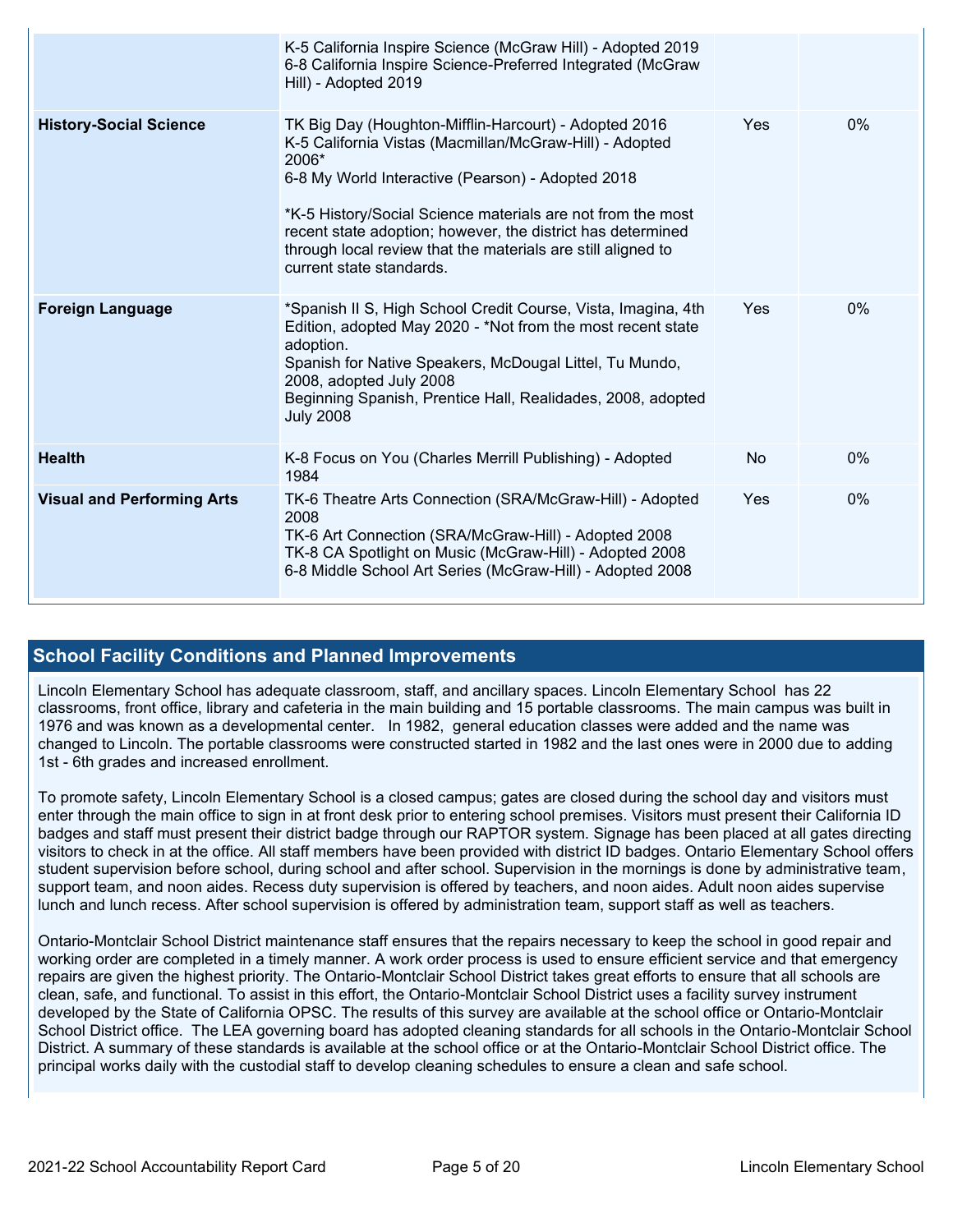|                                   | K-5 California Inspire Science (McGraw Hill) - Adopted 2019<br>6-8 California Inspire Science-Preferred Integrated (McGraw<br>Hill) - Adopted 2019                                                                                                                                                                                                                                                       |     |    |
|-----------------------------------|----------------------------------------------------------------------------------------------------------------------------------------------------------------------------------------------------------------------------------------------------------------------------------------------------------------------------------------------------------------------------------------------------------|-----|----|
| <b>History-Social Science</b>     | TK Big Day (Houghton-Mifflin-Harcourt) - Adopted 2016<br>K-5 California Vistas (Macmillan/McGraw-Hill) - Adopted<br>2006*<br>6-8 My World Interactive (Pearson) - Adopted 2018<br>*K-5 History/Social Science materials are not from the most<br>recent state adoption; however, the district has determined<br>through local review that the materials are still aligned to<br>current state standards. | Yes | 0% |
| <b>Foreign Language</b>           | *Spanish II S, High School Credit Course, Vista, Imagina, 4th<br>Edition, adopted May 2020 - *Not from the most recent state<br>adoption.<br>Spanish for Native Speakers, McDougal Littel, Tu Mundo,<br>2008, adopted July 2008<br>Beginning Spanish, Prentice Hall, Realidades, 2008, adopted<br><b>July 2008</b>                                                                                       | Yes | 0% |
| <b>Health</b>                     | K-8 Focus on You (Charles Merrill Publishing) - Adopted<br>1984                                                                                                                                                                                                                                                                                                                                          | No  | 0% |
| <b>Visual and Performing Arts</b> | TK-6 Theatre Arts Connection (SRA/McGraw-Hill) - Adopted<br>2008<br>TK-6 Art Connection (SRA/McGraw-Hill) - Adopted 2008<br>TK-8 CA Spotlight on Music (McGraw-Hill) - Adopted 2008<br>6-8 Middle School Art Series (McGraw-Hill) - Adopted 2008                                                                                                                                                         | Yes | 0% |

### **School Facility Conditions and Planned Improvements**

Lincoln Elementary School has adequate classroom, staff, and ancillary spaces. Lincoln Elementary School has 22 classrooms, front office, library and cafeteria in the main building and 15 portable classrooms. The main campus was built in 1976 and was known as a developmental center. In 1982, general education classes were added and the name was changed to Lincoln. The portable classrooms were constructed started in 1982 and the last ones were in 2000 due to adding 1st - 6th grades and increased enrollment.

To promote safety, Lincoln Elementary School is a closed campus; gates are closed during the school day and visitors must enter through the main office to sign in at front desk prior to entering school premises. Visitors must present their California ID badges and staff must present their district badge through our RAPTOR system. Signage has been placed at all gates directing visitors to check in at the office. All staff members have been provided with district ID badges. Ontario Elementary School offers student supervision before school, during school and after school. Supervision in the mornings is done by administrative team, support team, and noon aides. Recess duty supervision is offered by teachers, and noon aides. Adult noon aides supervise lunch and lunch recess. After school supervision is offered by administration team, support staff as well as teachers.

Ontario-Montclair School District maintenance staff ensures that the repairs necessary to keep the school in good repair and working order are completed in a timely manner. A work order process is used to ensure efficient service and that emergency repairs are given the highest priority. The Ontario-Montclair School District takes great efforts to ensure that all schools are clean, safe, and functional. To assist in this effort, the Ontario-Montclair School District uses a facility survey instrument developed by the State of California OPSC. The results of this survey are available at the school office or Ontario-Montclair School District office. The LEA governing board has adopted cleaning standards for all schools in the Ontario-Montclair School District. A summary of these standards is available at the school office or at the Ontario-Montclair School District office. The principal works daily with the custodial staff to develop cleaning schedules to ensure a clean and safe school.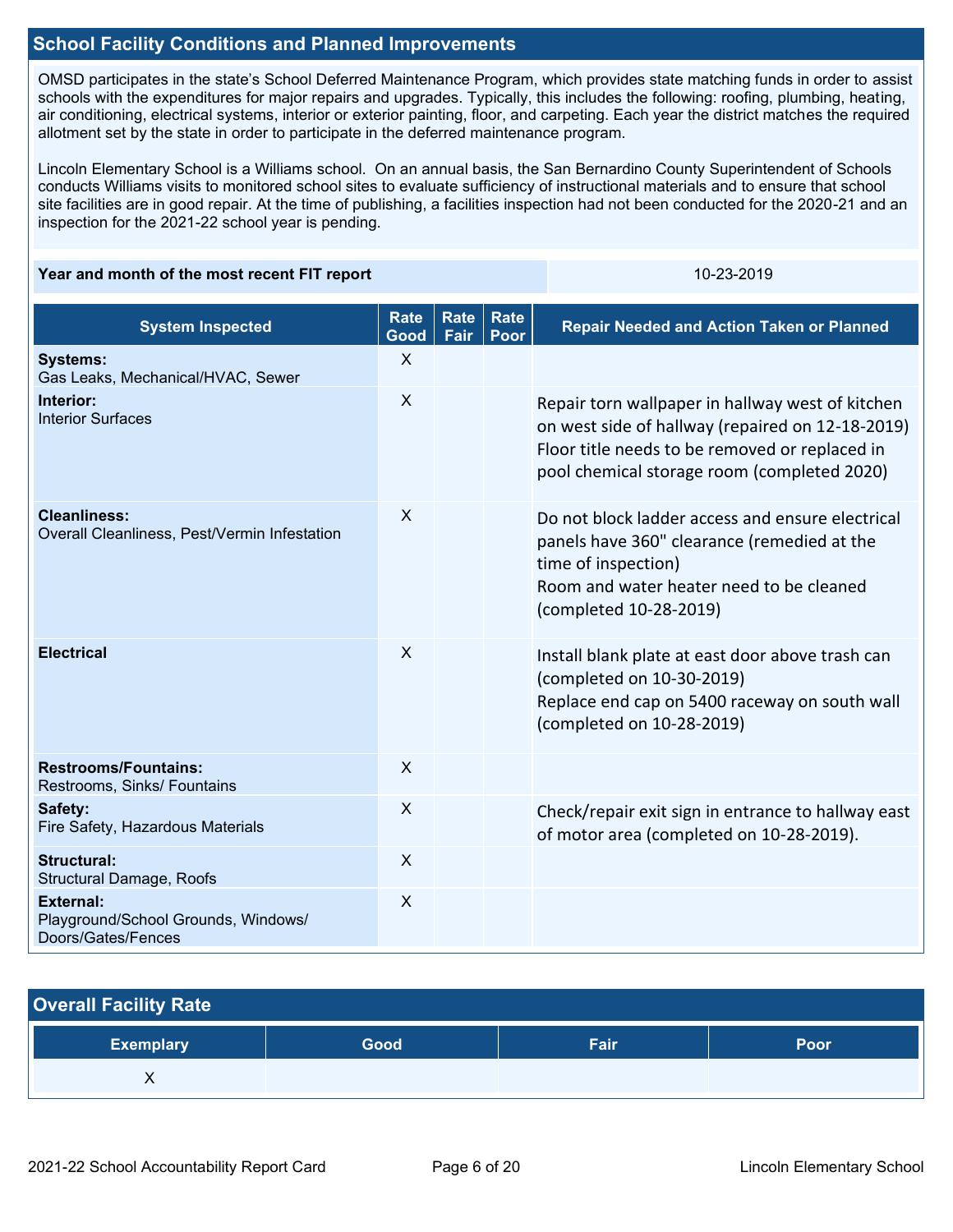# **School Facility Conditions and Planned Improvements**

OMSD participates in the state's School Deferred Maintenance Program, which provides state matching funds in order to assist schools with the expenditures for major repairs and upgrades. Typically, this includes the following: roofing, plumbing, heating, air conditioning, electrical systems, interior or exterior painting, floor, and carpeting. Each year the district matches the required allotment set by the state in order to participate in the deferred maintenance program.

Lincoln Elementary School is a Williams school. On an annual basis, the San Bernardino County Superintendent of Schools conducts Williams visits to monitored school sites to evaluate sufficiency of instructional materials and to ensure that school site facilities are in good repair. At the time of publishing, a facilities inspection had not been conducted for the 2020-21 and an inspection for the 2021-22 school year is pending.

#### **Year and month of the most recent FIT report** 10-23-2019 10-23-2019

| <b>System Inspected</b>                                                       | <b>Rate</b><br>Good       | <b>Rate</b><br>Fair | Rate<br>Poor | <b>Repair Needed and Action Taken or Planned</b>                                                                                                                                                      |
|-------------------------------------------------------------------------------|---------------------------|---------------------|--------------|-------------------------------------------------------------------------------------------------------------------------------------------------------------------------------------------------------|
| <b>Systems:</b><br>Gas Leaks, Mechanical/HVAC, Sewer                          | $\sf X$                   |                     |              |                                                                                                                                                                                                       |
| Interior:<br><b>Interior Surfaces</b>                                         | $\sf X$                   |                     |              | Repair torn wallpaper in hallway west of kitchen<br>on west side of hallway (repaired on 12-18-2019)<br>Floor title needs to be removed or replaced in<br>pool chemical storage room (completed 2020) |
| <b>Cleanliness:</b><br>Overall Cleanliness, Pest/Vermin Infestation           | $\sf X$                   |                     |              | Do not block ladder access and ensure electrical<br>panels have 360" clearance (remedied at the<br>time of inspection)<br>Room and water heater need to be cleaned<br>(completed 10-28-2019)          |
| <b>Electrical</b>                                                             | $\sf X$                   |                     |              | Install blank plate at east door above trash can<br>(completed on 10-30-2019)<br>Replace end cap on 5400 raceway on south wall<br>(completed on 10-28-2019)                                           |
| <b>Restrooms/Fountains:</b><br>Restrooms, Sinks/ Fountains                    | $\boldsymbol{\mathsf{X}}$ |                     |              |                                                                                                                                                                                                       |
| Safety:<br>Fire Safety, Hazardous Materials                                   | $\sf X$                   |                     |              | Check/repair exit sign in entrance to hallway east<br>of motor area (completed on 10-28-2019).                                                                                                        |
| <b>Structural:</b><br>Structural Damage, Roofs                                | $\sf X$                   |                     |              |                                                                                                                                                                                                       |
| <b>External:</b><br>Playground/School Grounds, Windows/<br>Doors/Gates/Fences | X                         |                     |              |                                                                                                                                                                                                       |

| <b>Overall Facility Rate</b> |      |      |      |
|------------------------------|------|------|------|
| <b>Exemplary</b>             | Good | Fair | Poor |
|                              |      |      |      |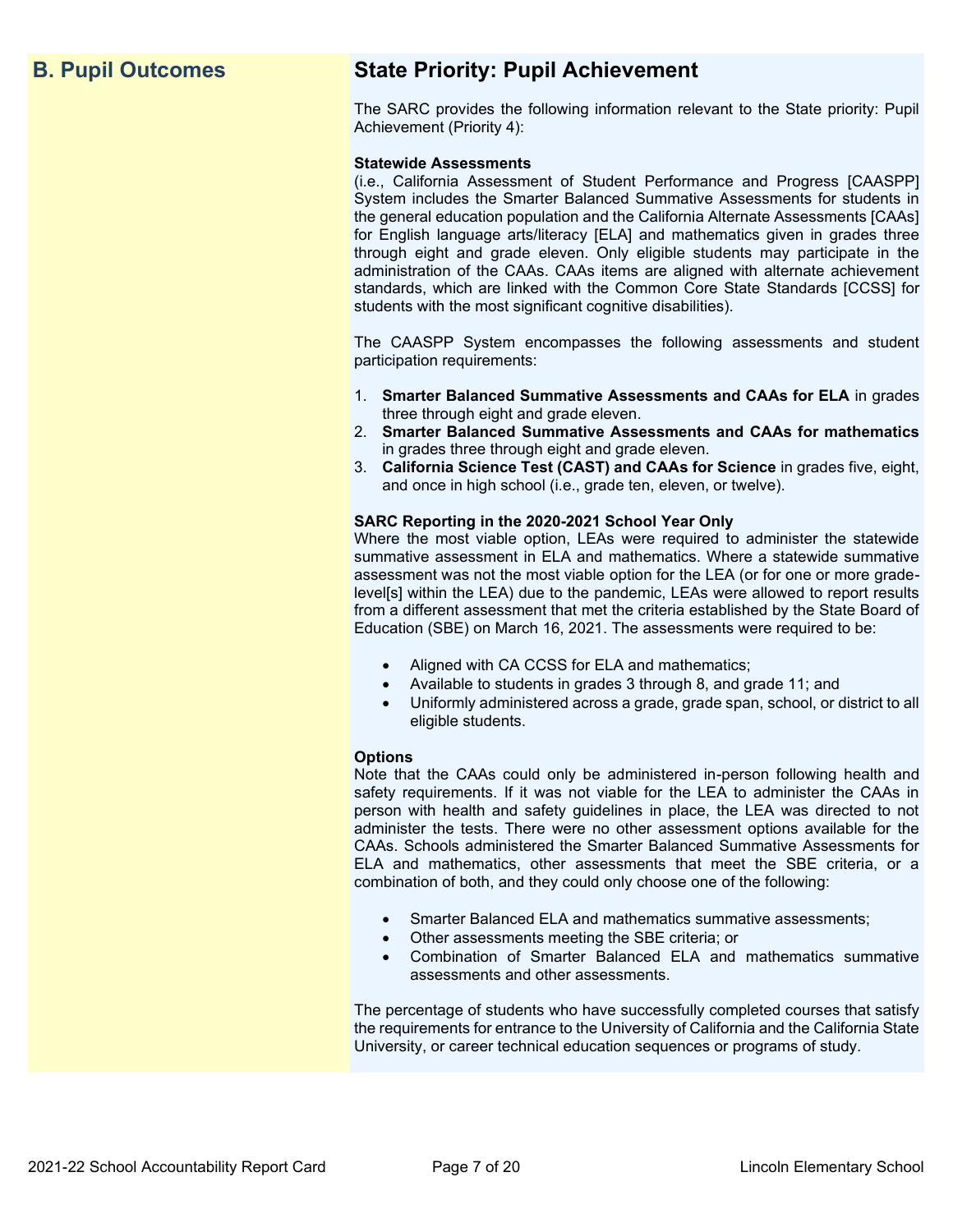# **B. Pupil Outcomes State Priority: Pupil Achievement**

The SARC provides the following information relevant to the State priority: Pupil Achievement (Priority 4):

#### **Statewide Assessments**

(i.e., California Assessment of Student Performance and Progress [CAASPP] System includes the Smarter Balanced Summative Assessments for students in the general education population and the California Alternate Assessments [CAAs] for English language arts/literacy [ELA] and mathematics given in grades three through eight and grade eleven. Only eligible students may participate in the administration of the CAAs. CAAs items are aligned with alternate achievement standards, which are linked with the Common Core State Standards [CCSS] for students with the most significant cognitive disabilities).

The CAASPP System encompasses the following assessments and student participation requirements:

- 1. **Smarter Balanced Summative Assessments and CAAs for ELA** in grades three through eight and grade eleven.
- 2. **Smarter Balanced Summative Assessments and CAAs for mathematics** in grades three through eight and grade eleven.
- 3. **California Science Test (CAST) and CAAs for Science** in grades five, eight, and once in high school (i.e., grade ten, eleven, or twelve).

#### **SARC Reporting in the 2020-2021 School Year Only**

Where the most viable option, LEAs were required to administer the statewide summative assessment in ELA and mathematics. Where a statewide summative assessment was not the most viable option for the LEA (or for one or more gradelevel[s] within the LEA) due to the pandemic, LEAs were allowed to report results from a different assessment that met the criteria established by the State Board of Education (SBE) on March 16, 2021. The assessments were required to be:

- Aligned with CA CCSS for ELA and mathematics;
- Available to students in grades 3 through 8, and grade 11; and
- Uniformly administered across a grade, grade span, school, or district to all eligible students.

#### **Options**

Note that the CAAs could only be administered in-person following health and safety requirements. If it was not viable for the LEA to administer the CAAs in person with health and safety guidelines in place, the LEA was directed to not administer the tests. There were no other assessment options available for the CAAs. Schools administered the Smarter Balanced Summative Assessments for ELA and mathematics, other assessments that meet the SBE criteria, or a combination of both, and they could only choose one of the following:

- Smarter Balanced ELA and mathematics summative assessments;
- Other assessments meeting the SBE criteria; or
- Combination of Smarter Balanced ELA and mathematics summative assessments and other assessments.

The percentage of students who have successfully completed courses that satisfy the requirements for entrance to the University of California and the California State University, or career technical education sequences or programs of study.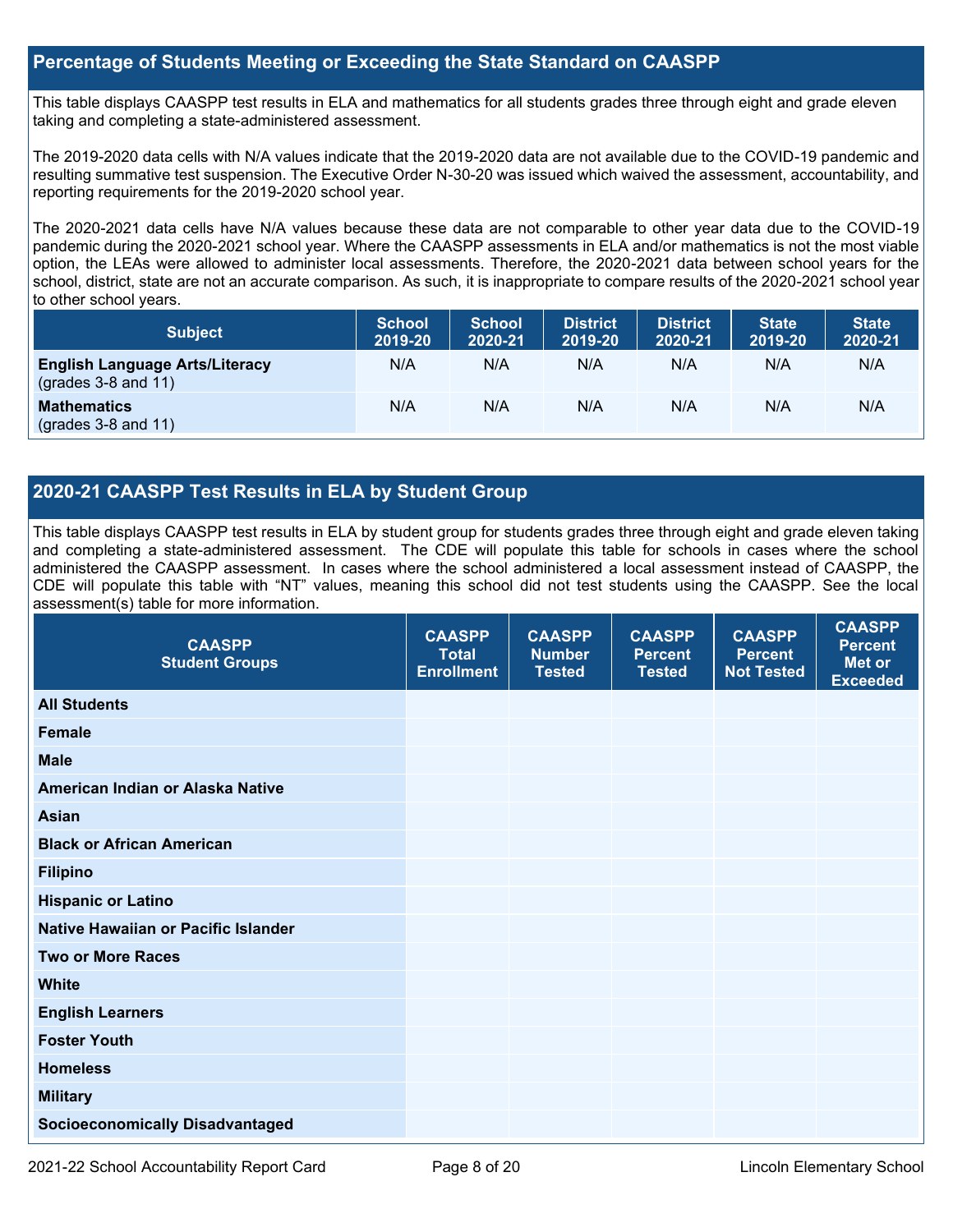#### **Percentage of Students Meeting or Exceeding the State Standard on CAASPP**

This table displays CAASPP test results in ELA and mathematics for all students grades three through eight and grade eleven taking and completing a state-administered assessment.

The 2019-2020 data cells with N/A values indicate that the 2019-2020 data are not available due to the COVID-19 pandemic and resulting summative test suspension. The Executive Order N-30-20 was issued which waived the assessment, accountability, and reporting requirements for the 2019-2020 school year.

The 2020-2021 data cells have N/A values because these data are not comparable to other year data due to the COVID-19 pandemic during the 2020-2021 school year. Where the CAASPP assessments in ELA and/or mathematics is not the most viable option, the LEAs were allowed to administer local assessments. Therefore, the 2020-2021 data between school years for the school, district, state are not an accurate comparison. As such, it is inappropriate to compare results of the 2020-2021 school year to other school years.

| <b>Subject</b>                                                       | <b>School</b><br>2019-20 | <b>School</b><br>2020-21 | <b>District</b><br>2019-20 | <b>District</b><br>2020-21 | <b>State</b><br>2019-20 | <b>State</b><br>2020-21 |
|----------------------------------------------------------------------|--------------------------|--------------------------|----------------------------|----------------------------|-------------------------|-------------------------|
| <b>English Language Arts/Literacy</b><br>$\left($ grades 3-8 and 11) | N/A                      | N/A                      | N/A                        | N/A                        | N/A                     | N/A                     |
| <b>Mathematics</b><br>$(grades 3-8 and 11)$                          | N/A                      | N/A                      | N/A                        | N/A                        | N/A                     | N/A                     |

## **2020-21 CAASPP Test Results in ELA by Student Group**

This table displays CAASPP test results in ELA by student group for students grades three through eight and grade eleven taking and completing a state-administered assessment. The CDE will populate this table for schools in cases where the school administered the CAASPP assessment. In cases where the school administered a local assessment instead of CAASPP, the CDE will populate this table with "NT" values, meaning this school did not test students using the CAASPP. See the local assessment(s) table for more information.

| <b>CAASPP</b><br><b>Student Groups</b> | <b>CAASPP</b><br><b>Total</b><br><b>Enrollment</b> | <b>CAASPP</b><br><b>Number</b><br><b>Tested</b> | <b>CAASPP</b><br><b>Percent</b><br><b>Tested</b> | <b>CAASPP</b><br><b>Percent</b><br><b>Not Tested</b> | <b>CAASPP</b><br><b>Percent</b><br><b>Met or</b><br><b>Exceeded</b> |
|----------------------------------------|----------------------------------------------------|-------------------------------------------------|--------------------------------------------------|------------------------------------------------------|---------------------------------------------------------------------|
| <b>All Students</b>                    |                                                    |                                                 |                                                  |                                                      |                                                                     |
| <b>Female</b>                          |                                                    |                                                 |                                                  |                                                      |                                                                     |
| <b>Male</b>                            |                                                    |                                                 |                                                  |                                                      |                                                                     |
| American Indian or Alaska Native       |                                                    |                                                 |                                                  |                                                      |                                                                     |
| <b>Asian</b>                           |                                                    |                                                 |                                                  |                                                      |                                                                     |
| <b>Black or African American</b>       |                                                    |                                                 |                                                  |                                                      |                                                                     |
| <b>Filipino</b>                        |                                                    |                                                 |                                                  |                                                      |                                                                     |
| <b>Hispanic or Latino</b>              |                                                    |                                                 |                                                  |                                                      |                                                                     |
| Native Hawaiian or Pacific Islander    |                                                    |                                                 |                                                  |                                                      |                                                                     |
| <b>Two or More Races</b>               |                                                    |                                                 |                                                  |                                                      |                                                                     |
| <b>White</b>                           |                                                    |                                                 |                                                  |                                                      |                                                                     |
| <b>English Learners</b>                |                                                    |                                                 |                                                  |                                                      |                                                                     |
| <b>Foster Youth</b>                    |                                                    |                                                 |                                                  |                                                      |                                                                     |
| <b>Homeless</b>                        |                                                    |                                                 |                                                  |                                                      |                                                                     |
| <b>Military</b>                        |                                                    |                                                 |                                                  |                                                      |                                                                     |
| <b>Socioeconomically Disadvantaged</b> |                                                    |                                                 |                                                  |                                                      |                                                                     |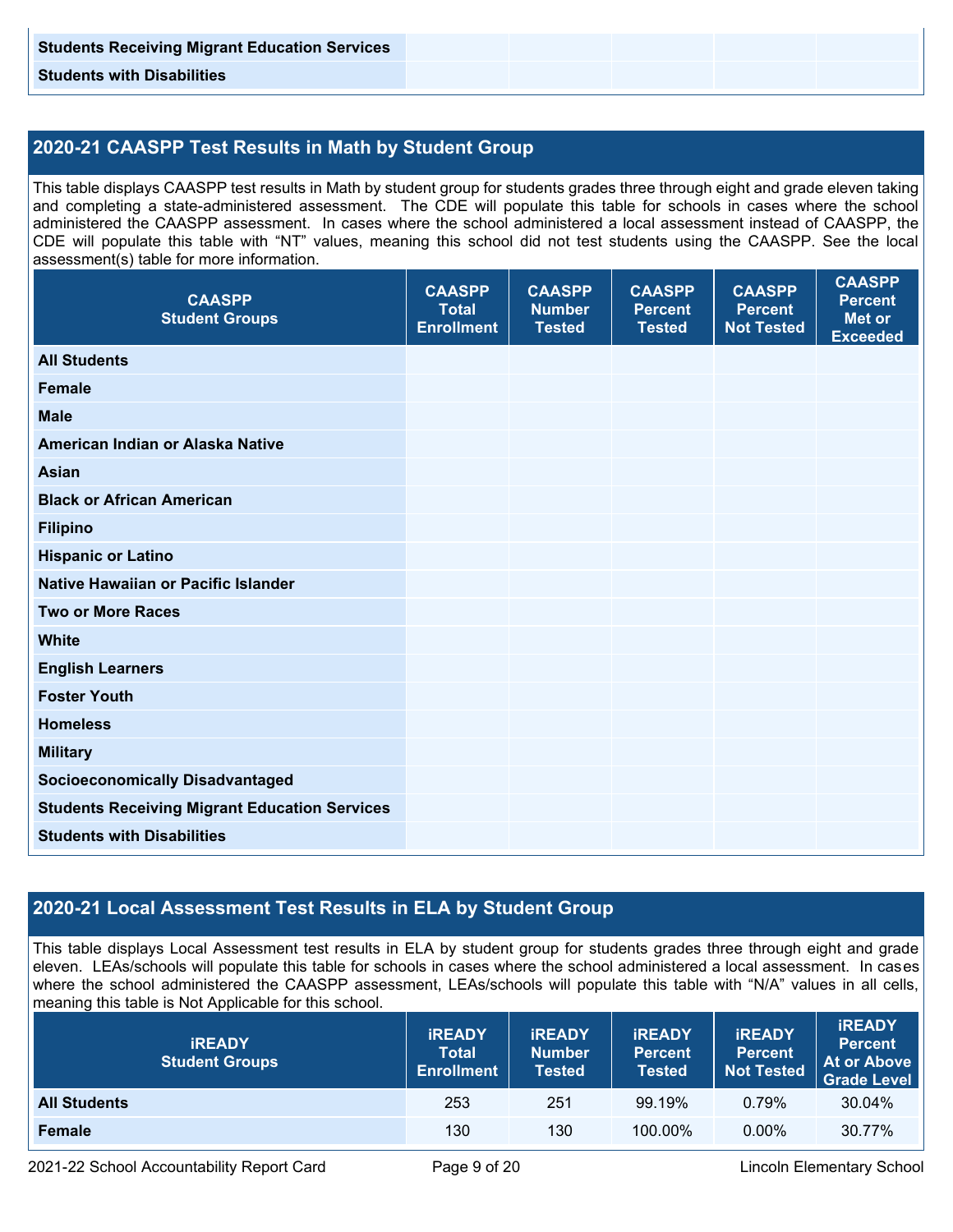**Students with Disabilities** 

# **2020-21 CAASPP Test Results in Math by Student Group**

This table displays CAASPP test results in Math by student group for students grades three through eight and grade eleven taking and completing a state-administered assessment. The CDE will populate this table for schools in cases where the school administered the CAASPP assessment. In cases where the school administered a local assessment instead of CAASPP, the CDE will populate this table with "NT" values, meaning this school did not test students using the CAASPP. See the local assessment(s) table for more information.

| <b>CAASPP</b><br><b>Student Groups</b>               | <b>CAASPP</b><br><b>Total</b><br><b>Enrollment</b> | <b>CAASPP</b><br><b>Number</b><br><b>Tested</b> | <b>CAASPP</b><br><b>Percent</b><br><b>Tested</b> | <b>CAASPP</b><br><b>Percent</b><br><b>Not Tested</b> | <b>CAASPP</b><br><b>Percent</b><br><b>Met or</b><br><b>Exceeded</b> |
|------------------------------------------------------|----------------------------------------------------|-------------------------------------------------|--------------------------------------------------|------------------------------------------------------|---------------------------------------------------------------------|
| <b>All Students</b>                                  |                                                    |                                                 |                                                  |                                                      |                                                                     |
| <b>Female</b>                                        |                                                    |                                                 |                                                  |                                                      |                                                                     |
| <b>Male</b>                                          |                                                    |                                                 |                                                  |                                                      |                                                                     |
| American Indian or Alaska Native                     |                                                    |                                                 |                                                  |                                                      |                                                                     |
| <b>Asian</b>                                         |                                                    |                                                 |                                                  |                                                      |                                                                     |
| <b>Black or African American</b>                     |                                                    |                                                 |                                                  |                                                      |                                                                     |
| <b>Filipino</b>                                      |                                                    |                                                 |                                                  |                                                      |                                                                     |
| <b>Hispanic or Latino</b>                            |                                                    |                                                 |                                                  |                                                      |                                                                     |
| Native Hawaiian or Pacific Islander                  |                                                    |                                                 |                                                  |                                                      |                                                                     |
| <b>Two or More Races</b>                             |                                                    |                                                 |                                                  |                                                      |                                                                     |
| <b>White</b>                                         |                                                    |                                                 |                                                  |                                                      |                                                                     |
| <b>English Learners</b>                              |                                                    |                                                 |                                                  |                                                      |                                                                     |
| <b>Foster Youth</b>                                  |                                                    |                                                 |                                                  |                                                      |                                                                     |
| <b>Homeless</b>                                      |                                                    |                                                 |                                                  |                                                      |                                                                     |
| <b>Military</b>                                      |                                                    |                                                 |                                                  |                                                      |                                                                     |
| <b>Socioeconomically Disadvantaged</b>               |                                                    |                                                 |                                                  |                                                      |                                                                     |
| <b>Students Receiving Migrant Education Services</b> |                                                    |                                                 |                                                  |                                                      |                                                                     |
| <b>Students with Disabilities</b>                    |                                                    |                                                 |                                                  |                                                      |                                                                     |

# **2020-21 Local Assessment Test Results in ELA by Student Group**

This table displays Local Assessment test results in ELA by student group for students grades three through eight and grade eleven. LEAs/schools will populate this table for schools in cases where the school administered a local assessment. In cases where the school administered the CAASPP assessment, LEAs/schools will populate this table with "N/A" values in all cells, meaning this table is Not Applicable for this school.

| <b>IREADY</b><br><b>Student Groups</b> | <b>IREADY</b><br><b>Total</b><br><b>Enrollment</b> | <b>IREADY</b><br><b>Number</b><br>Tested | <b><i>IREADY</i></b><br><b>Percent</b><br>Tested | <b>IREADY</b><br>Percent<br><b>Not Tested</b> | <b>IREADY</b><br><b>Percent</b><br><b>At or Above</b><br><b>Grade Level</b> |
|----------------------------------------|----------------------------------------------------|------------------------------------------|--------------------------------------------------|-----------------------------------------------|-----------------------------------------------------------------------------|
| <b>All Students</b>                    | 253                                                | 251                                      | 99.19%                                           | 0.79%                                         | 30.04%                                                                      |
| <b>Female</b>                          | 130                                                | 130                                      | 100.00%                                          | $0.00\%$                                      | 30.77%                                                                      |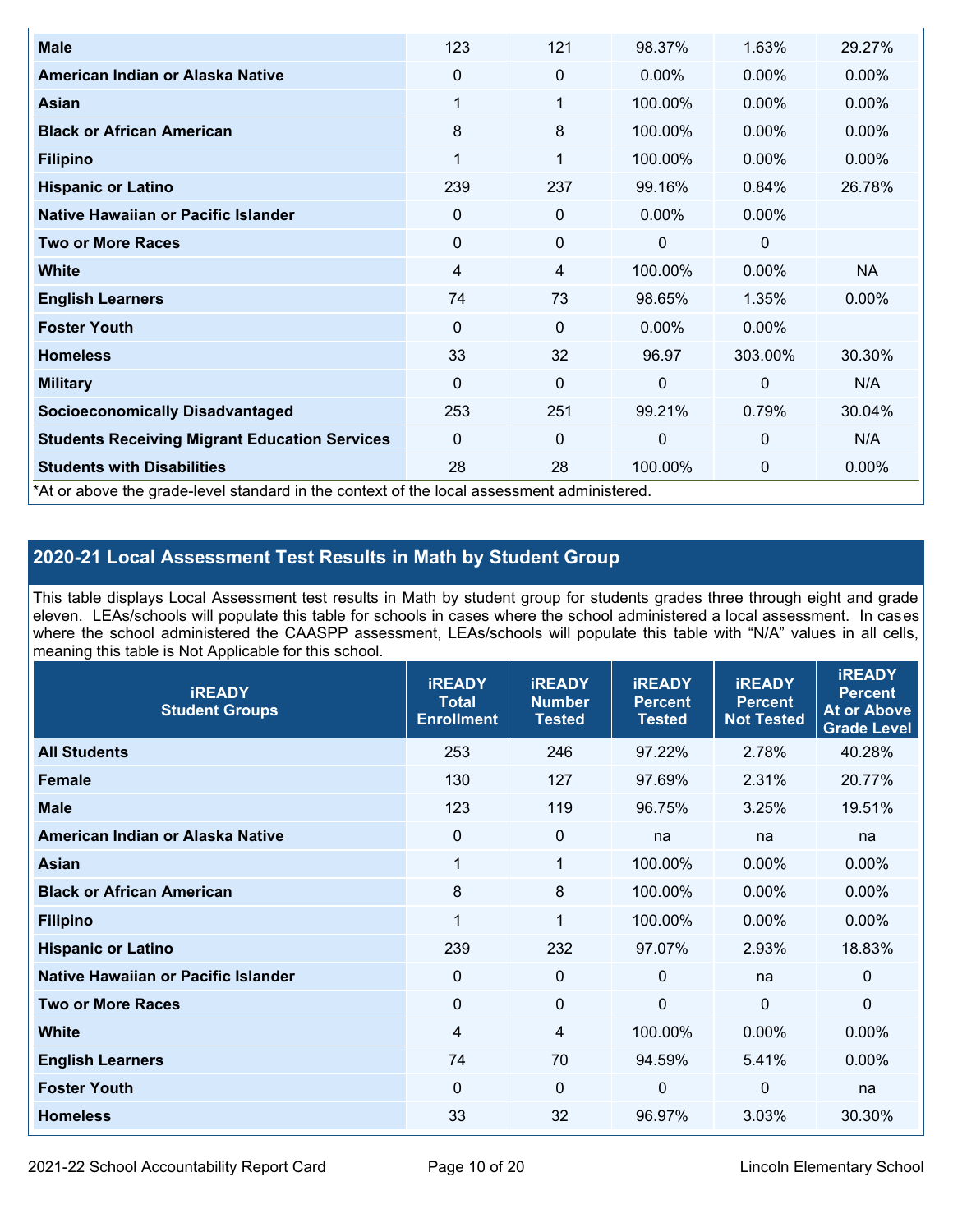| <b>Male</b>                                                                                | 123         | 121            | 98.37%   | 1.63%        | 29.27%   |
|--------------------------------------------------------------------------------------------|-------------|----------------|----------|--------------|----------|
| American Indian or Alaska Native                                                           | 0           | $\mathbf 0$    | $0.00\%$ | 0.00%        | $0.00\%$ |
| Asian                                                                                      | $\mathbf 1$ | 1              | 100.00%  | 0.00%        | 0.00%    |
| <b>Black or African American</b>                                                           | 8           | 8              | 100.00%  | 0.00%        | $0.00\%$ |
| <b>Filipino</b>                                                                            | $\mathbf 1$ | 1              | 100.00%  | 0.00%        | 0.00%    |
| <b>Hispanic or Latino</b>                                                                  | 239         | 237            | 99.16%   | 0.84%        | 26.78%   |
| Native Hawaiian or Pacific Islander                                                        | 0           | $\pmb{0}$      | $0.00\%$ | $0.00\%$     |          |
| <b>Two or More Races</b>                                                                   | 0           | $\mathbf 0$    | 0        | $\mathbf 0$  |          |
| White                                                                                      | 4           | $\overline{4}$ | 100.00%  | 0.00%        | NA       |
| <b>English Learners</b>                                                                    | 74          | 73             | 98.65%   | 1.35%        | $0.00\%$ |
| <b>Foster Youth</b>                                                                        | 0           | $\mathbf 0$    | $0.00\%$ | 0.00%        |          |
| <b>Homeless</b>                                                                            | 33          | 32             | 96.97    | 303.00%      | 30.30%   |
| <b>Military</b>                                                                            | $\Omega$    | $\mathbf 0$    | $\Omega$ | $\mathbf{0}$ | N/A      |
| <b>Socioeconomically Disadvantaged</b>                                                     | 253         | 251            | 99.21%   | 0.79%        | 30.04%   |
| <b>Students Receiving Migrant Education Services</b>                                       | $\Omega$    | $\mathbf 0$    | 0        | $\mathbf 0$  | N/A      |
| <b>Students with Disabilities</b>                                                          | 28          | 28             | 100.00%  | 0            | 0.00%    |
| *At or above the grade-level standard in the context of the local assessment administered. |             |                |          |              |          |

# **2020-21 Local Assessment Test Results in Math by Student Group**

This table displays Local Assessment test results in Math by student group for students grades three through eight and grade eleven. LEAs/schools will populate this table for schools in cases where the school administered a local assessment. In cases where the school administered the CAASPP assessment, LEAs/schools will populate this table with "N/A" values in all cells, meaning this table is Not Applicable for this school.

| <b>iREADY</b><br><b>Student Groups</b> | <b>IREADY</b><br><b>Total</b><br><b>Enrollment</b> | <b>iREADY</b><br><b>Number</b><br><b>Tested</b> | <b>iREADY</b><br><b>Percent</b><br><b>Tested</b> | <b>IREADY</b><br><b>Percent</b><br><b>Not Tested</b> | <b>IREADY</b><br><b>Percent</b><br><b>At or Above</b><br><b>Grade Level</b> |
|----------------------------------------|----------------------------------------------------|-------------------------------------------------|--------------------------------------------------|------------------------------------------------------|-----------------------------------------------------------------------------|
| <b>All Students</b>                    | 253                                                | 246                                             | 97.22%                                           | 2.78%                                                | 40.28%                                                                      |
| <b>Female</b>                          | 130                                                | 127                                             | 97.69%                                           | 2.31%                                                | 20.77%                                                                      |
| <b>Male</b>                            | 123                                                | 119                                             | 96.75%                                           | 3.25%                                                | 19.51%                                                                      |
| American Indian or Alaska Native       | 0                                                  | $\mathbf 0$                                     | na                                               | na                                                   | na                                                                          |
| Asian                                  | $\mathbf 1$                                        | $\mathbf{1}$                                    | 100.00%                                          | 0.00%                                                | 0.00%                                                                       |
| <b>Black or African American</b>       | 8                                                  | 8                                               | 100.00%                                          | 0.00%                                                | 0.00%                                                                       |
| <b>Filipino</b>                        | 1                                                  | $\mathbf{1}$                                    | 100.00%                                          | 0.00%                                                | 0.00%                                                                       |
| <b>Hispanic or Latino</b>              | 239                                                | 232                                             | 97.07%                                           | 2.93%                                                | 18.83%                                                                      |
| Native Hawaiian or Pacific Islander    | 0                                                  | $\mathbf 0$                                     | $\mathbf{0}$                                     | na                                                   | 0                                                                           |
| <b>Two or More Races</b>               | $\mathbf 0$                                        | $\mathbf 0$                                     | $\mathbf{0}$                                     | $\overline{0}$                                       | $\Omega$                                                                    |
| <b>White</b>                           | $\overline{4}$                                     | 4                                               | 100.00%                                          | 0.00%                                                | 0.00%                                                                       |
| <b>English Learners</b>                | 74                                                 | 70                                              | 94.59%                                           | 5.41%                                                | $0.00\%$                                                                    |
| <b>Foster Youth</b>                    | 0                                                  | $\mathbf 0$                                     | 0                                                | 0                                                    | na                                                                          |
| <b>Homeless</b>                        | 33                                                 | 32                                              | 96.97%                                           | 3.03%                                                | 30.30%                                                                      |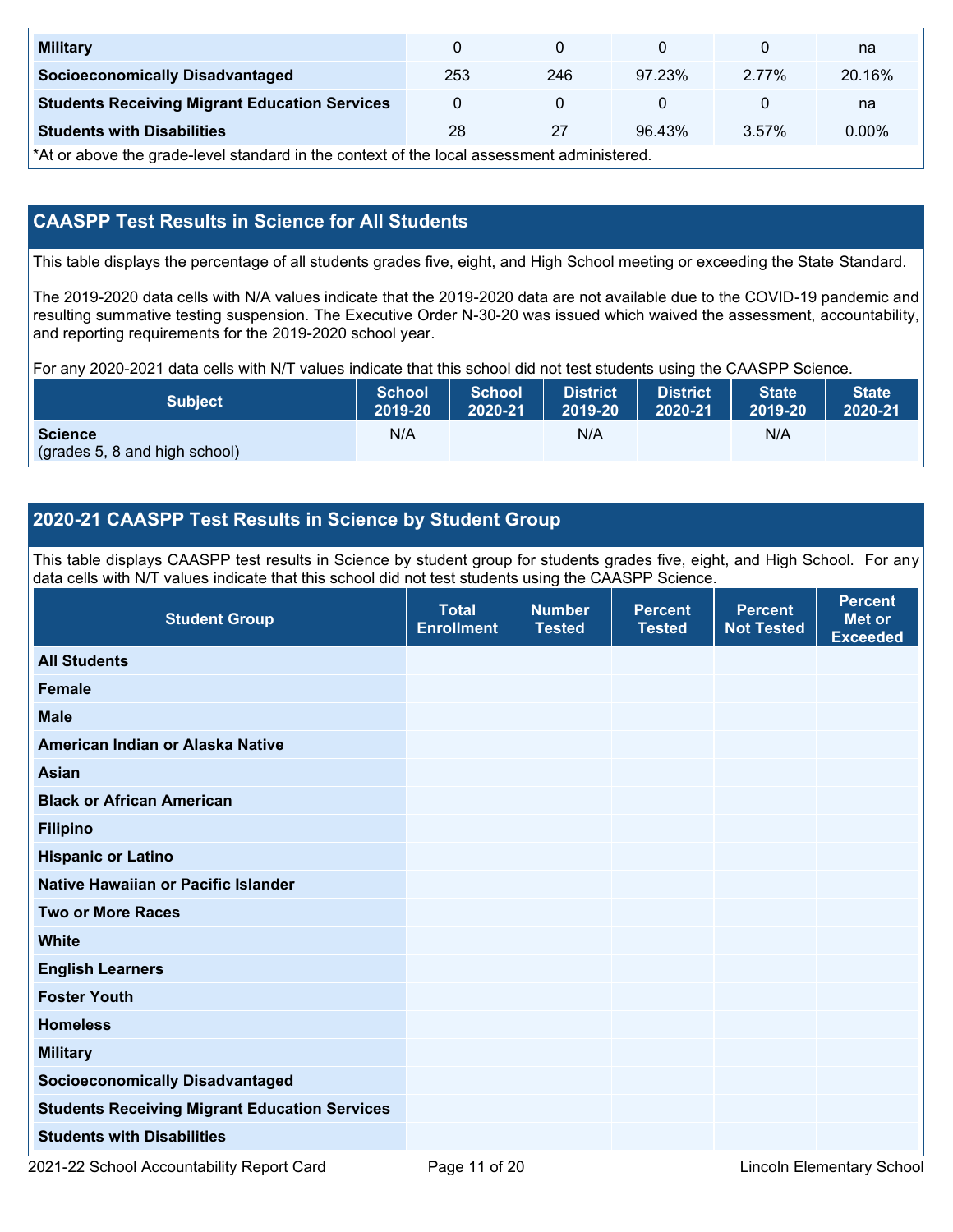| <b>Military</b>                                      |     |     |        |       | na     |
|------------------------------------------------------|-----|-----|--------|-------|--------|
| <b>Socioeconomically Disadvantaged</b>               | 253 | 246 | 97.23% | 2.77% | 20.16% |
| <b>Students Receiving Migrant Education Services</b> |     |     |        |       | na     |
| <b>Students with Disabilities</b>                    | 28  | 27  | 96.43% | 3.57% | 0.00%  |

\*At or above the grade-level standard in the context of the local assessment administered.

## **CAASPP Test Results in Science for All Students**

This table displays the percentage of all students grades five, eight, and High School meeting or exceeding the State Standard.

The 2019-2020 data cells with N/A values indicate that the 2019-2020 data are not available due to the COVID-19 pandemic and resulting summative testing suspension. The Executive Order N-30-20 was issued which waived the assessment, accountability, and reporting requirements for the 2019-2020 school year.

For any 2020-2021 data cells with N/T values indicate that this school did not test students using the CAASPP Science.

| <b>Subject</b>                                  | <b>School</b> | <b>School</b> | <b>District</b> | <b>District</b> | <b>State</b> | <b>State</b> |
|-------------------------------------------------|---------------|---------------|-----------------|-----------------|--------------|--------------|
|                                                 | 2019-20       | 2020-21       | 2019-20         | 2020-21         | 2019-20      | 2020-21      |
| <b>Science</b><br>(grades 5, 8 and high school) | N/A           |               | N/A             |                 | N/A          |              |

### **2020-21 CAASPP Test Results in Science by Student Group**

This table displays CAASPP test results in Science by student group for students grades five, eight, and High School. For any data cells with N/T values indicate that this school did not test students using the CAASPP Science.

| <b>Student Group</b>                                 | <b>Total</b><br><b>Enrollment</b> | <b>Number</b><br><b>Tested</b> | <b>Percent</b><br><b>Tested</b> | <b>Percent</b><br><b>Not Tested</b> | <b>Percent</b><br><b>Met or</b><br><b>Exceeded</b> |
|------------------------------------------------------|-----------------------------------|--------------------------------|---------------------------------|-------------------------------------|----------------------------------------------------|
| <b>All Students</b>                                  |                                   |                                |                                 |                                     |                                                    |
| Female                                               |                                   |                                |                                 |                                     |                                                    |
| <b>Male</b>                                          |                                   |                                |                                 |                                     |                                                    |
| American Indian or Alaska Native                     |                                   |                                |                                 |                                     |                                                    |
| <b>Asian</b>                                         |                                   |                                |                                 |                                     |                                                    |
| <b>Black or African American</b>                     |                                   |                                |                                 |                                     |                                                    |
| <b>Filipino</b>                                      |                                   |                                |                                 |                                     |                                                    |
| <b>Hispanic or Latino</b>                            |                                   |                                |                                 |                                     |                                                    |
| Native Hawaiian or Pacific Islander                  |                                   |                                |                                 |                                     |                                                    |
| <b>Two or More Races</b>                             |                                   |                                |                                 |                                     |                                                    |
| <b>White</b>                                         |                                   |                                |                                 |                                     |                                                    |
| <b>English Learners</b>                              |                                   |                                |                                 |                                     |                                                    |
| <b>Foster Youth</b>                                  |                                   |                                |                                 |                                     |                                                    |
| <b>Homeless</b>                                      |                                   |                                |                                 |                                     |                                                    |
| <b>Military</b>                                      |                                   |                                |                                 |                                     |                                                    |
| <b>Socioeconomically Disadvantaged</b>               |                                   |                                |                                 |                                     |                                                    |
| <b>Students Receiving Migrant Education Services</b> |                                   |                                |                                 |                                     |                                                    |
| <b>Students with Disabilities</b>                    |                                   |                                |                                 |                                     |                                                    |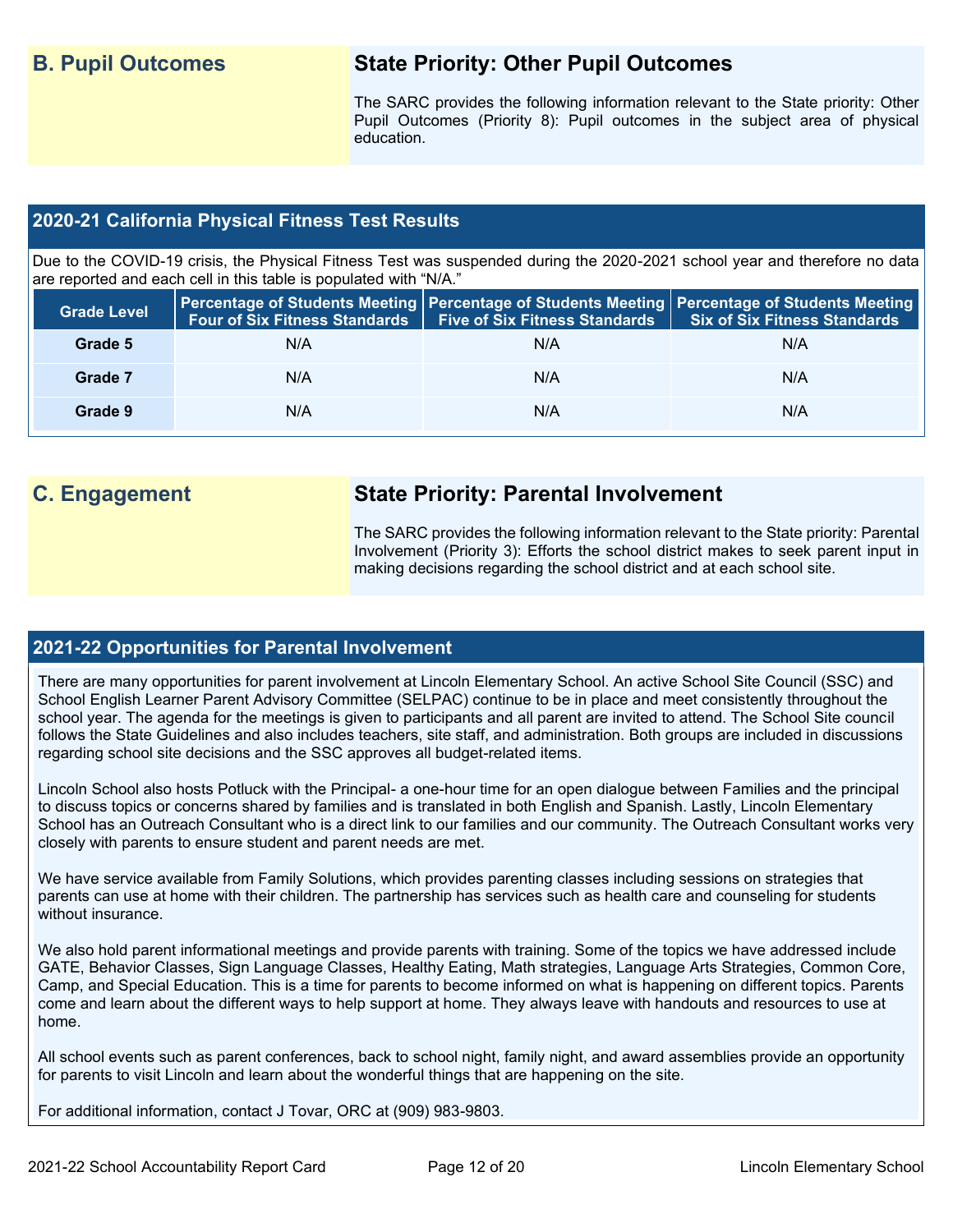# **B. Pupil Outcomes State Priority: Other Pupil Outcomes**

The SARC provides the following information relevant to the State priority: Other Pupil Outcomes (Priority 8): Pupil outcomes in the subject area of physical education.

### **2020-21 California Physical Fitness Test Results**

Due to the COVID-19 crisis, the Physical Fitness Test was suspended during the 2020-2021 school year and therefore no data are reported and each cell in this table is populated with "N/A."

| <b>Grade Level</b> | <b>Four of Six Fitness Standards</b> | Five of Six Fitness Standards   Six of Six Fitness Standards | Percentage of Students Meeting   Percentage of Students Meeting   Percentage of Students Meeting |
|--------------------|--------------------------------------|--------------------------------------------------------------|--------------------------------------------------------------------------------------------------|
| Grade 5            | N/A                                  | N/A                                                          | N/A                                                                                              |
| Grade 7            | N/A                                  | N/A                                                          | N/A                                                                                              |
| Grade 9            | N/A                                  | N/A                                                          | N/A                                                                                              |

# **C. Engagement State Priority: Parental Involvement**

The SARC provides the following information relevant to the State priority: Parental Involvement (Priority 3): Efforts the school district makes to seek parent input in making decisions regarding the school district and at each school site.

### **2021-22 Opportunities for Parental Involvement**

There are many opportunities for parent involvement at Lincoln Elementary School. An active School Site Council (SSC) and School English Learner Parent Advisory Committee (SELPAC) continue to be in place and meet consistently throughout the school year. The agenda for the meetings is given to participants and all parent are invited to attend. The School Site council follows the State Guidelines and also includes teachers, site staff, and administration. Both groups are included in discussions regarding school site decisions and the SSC approves all budget-related items.

Lincoln School also hosts Potluck with the Principal- a one-hour time for an open dialogue between Families and the principal to discuss topics or concerns shared by families and is translated in both English and Spanish. Lastly, Lincoln Elementary School has an Outreach Consultant who is a direct link to our families and our community. The Outreach Consultant works very closely with parents to ensure student and parent needs are met.

We have service available from Family Solutions, which provides parenting classes including sessions on strategies that parents can use at home with their children. The partnership has services such as health care and counseling for students without insurance.

We also hold parent informational meetings and provide parents with training. Some of the topics we have addressed include GATE, Behavior Classes, Sign Language Classes, Healthy Eating, Math strategies, Language Arts Strategies, Common Core, Camp, and Special Education. This is a time for parents to become informed on what is happening on different topics. Parents come and learn about the different ways to help support at home. They always leave with handouts and resources to use at home.

All school events such as parent conferences, back to school night, family night, and award assemblies provide an opportunity for parents to visit Lincoln and learn about the wonderful things that are happening on the site.

For additional information, contact J Tovar, ORC at (909) 983-9803.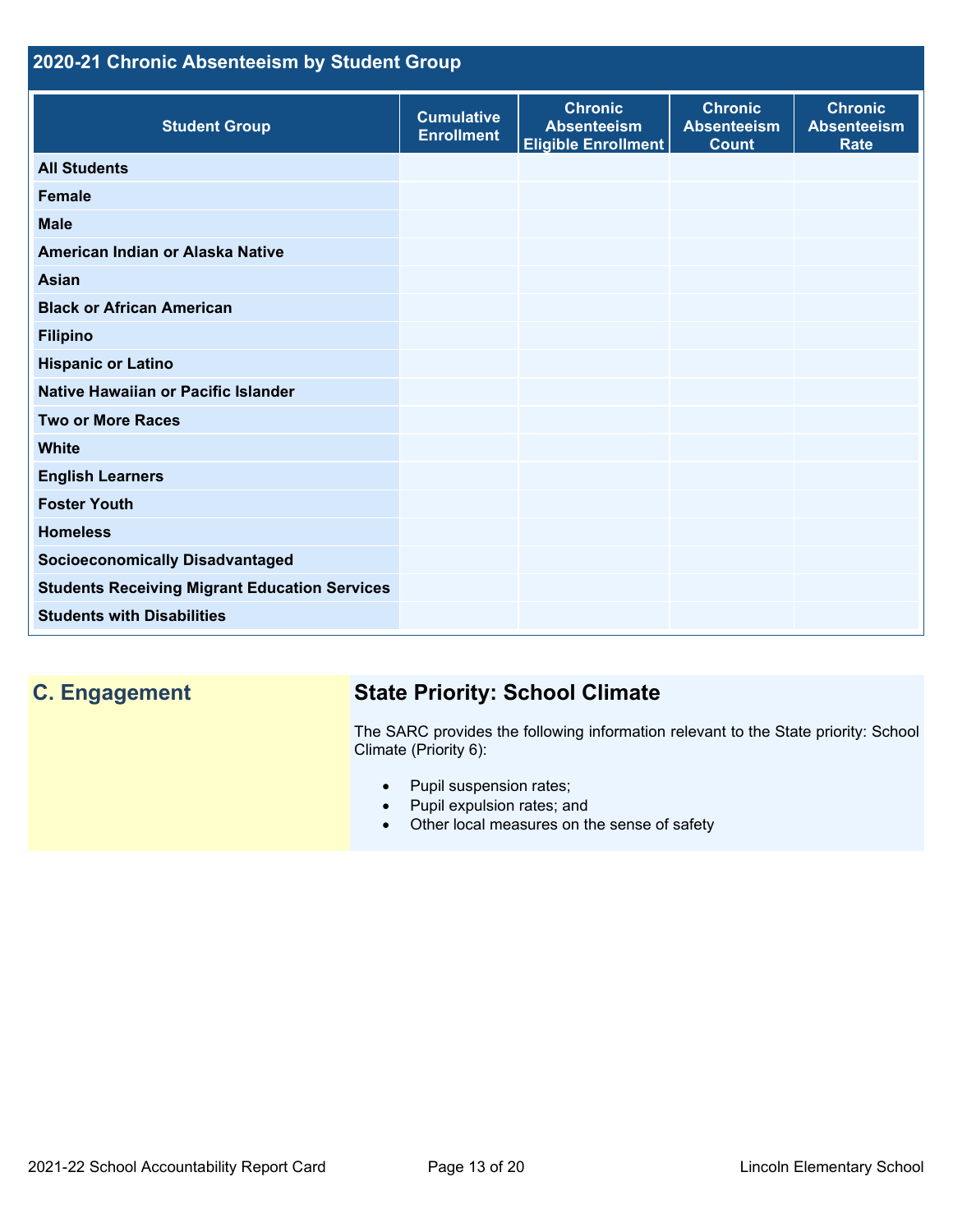# **2020-21 Chronic Absenteeism by Student Group**

| <b>Student Group</b>                                 | <b>Cumulative</b><br><b>Enrollment</b> | <b>Chronic</b><br><b>Absenteeism</b><br><b>Eligible Enrollment</b> | <b>Chronic</b><br><b>Absenteeism</b><br><b>Count</b> | <b>Chronic</b><br><b>Absenteeism</b><br><b>Rate</b> |
|------------------------------------------------------|----------------------------------------|--------------------------------------------------------------------|------------------------------------------------------|-----------------------------------------------------|
| <b>All Students</b>                                  |                                        |                                                                    |                                                      |                                                     |
| <b>Female</b>                                        |                                        |                                                                    |                                                      |                                                     |
| <b>Male</b>                                          |                                        |                                                                    |                                                      |                                                     |
| American Indian or Alaska Native                     |                                        |                                                                    |                                                      |                                                     |
| <b>Asian</b>                                         |                                        |                                                                    |                                                      |                                                     |
| <b>Black or African American</b>                     |                                        |                                                                    |                                                      |                                                     |
| <b>Filipino</b>                                      |                                        |                                                                    |                                                      |                                                     |
| <b>Hispanic or Latino</b>                            |                                        |                                                                    |                                                      |                                                     |
| Native Hawaiian or Pacific Islander                  |                                        |                                                                    |                                                      |                                                     |
| <b>Two or More Races</b>                             |                                        |                                                                    |                                                      |                                                     |
| <b>White</b>                                         |                                        |                                                                    |                                                      |                                                     |
| <b>English Learners</b>                              |                                        |                                                                    |                                                      |                                                     |
| <b>Foster Youth</b>                                  |                                        |                                                                    |                                                      |                                                     |
| <b>Homeless</b>                                      |                                        |                                                                    |                                                      |                                                     |
| <b>Socioeconomically Disadvantaged</b>               |                                        |                                                                    |                                                      |                                                     |
| <b>Students Receiving Migrant Education Services</b> |                                        |                                                                    |                                                      |                                                     |
| <b>Students with Disabilities</b>                    |                                        |                                                                    |                                                      |                                                     |

# **C. Engagement State Priority: School Climate**

The SARC provides the following information relevant to the State priority: School Climate (Priority 6):

- Pupil suspension rates;
- Pupil expulsion rates; and
- Other local measures on the sense of safety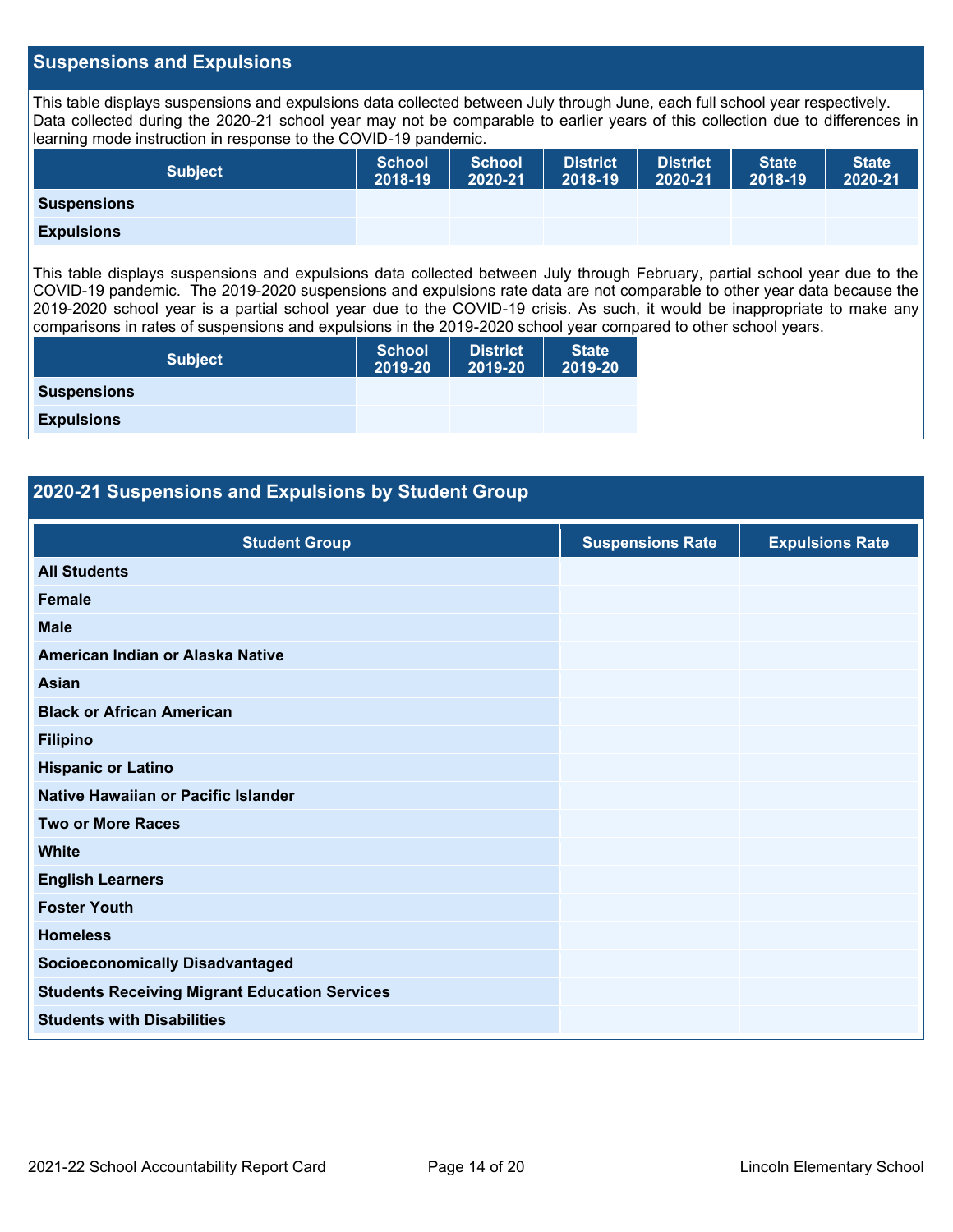#### **Suspensions and Expulsions**

This table displays suspensions and expulsions data collected between July through June, each full school year respectively. Data collected during the 2020-21 school year may not be comparable to earlier years of this collection due to differences in learning mode instruction in response to the COVID-19 pandemic.

| <b>Subject</b>     | <b>School</b><br>2018-19 | <b>School</b><br>2020-21 | <b>District</b><br>2018-19 | District<br>2020-21 | <b>State</b><br>2018-19 | <b>State</b><br>2020-21 |
|--------------------|--------------------------|--------------------------|----------------------------|---------------------|-------------------------|-------------------------|
| <b>Suspensions</b> |                          |                          |                            |                     |                         |                         |
| <b>Expulsions</b>  |                          |                          |                            |                     |                         |                         |

This table displays suspensions and expulsions data collected between July through February, partial school year due to the COVID-19 pandemic. The 2019-2020 suspensions and expulsions rate data are not comparable to other year data because the 2019-2020 school year is a partial school year due to the COVID-19 crisis. As such, it would be inappropriate to make any comparisons in rates of suspensions and expulsions in the 2019-2020 school year compared to other school years.

| <b>Subject</b>     | <b>School</b><br>2019-20 | <b>District</b><br>2019-20 | <b>State</b><br>2019-20 |
|--------------------|--------------------------|----------------------------|-------------------------|
| <b>Suspensions</b> |                          |                            |                         |
| <b>Expulsions</b>  |                          |                            |                         |
|                    |                          |                            |                         |

#### **2020-21 Suspensions and Expulsions by Student Group**

| <b>Student Group</b>                                 | <b>Suspensions Rate</b> | <b>Expulsions Rate</b> |
|------------------------------------------------------|-------------------------|------------------------|
| <b>All Students</b>                                  |                         |                        |
| <b>Female</b>                                        |                         |                        |
| <b>Male</b>                                          |                         |                        |
| American Indian or Alaska Native                     |                         |                        |
| <b>Asian</b>                                         |                         |                        |
| <b>Black or African American</b>                     |                         |                        |
| <b>Filipino</b>                                      |                         |                        |
| <b>Hispanic or Latino</b>                            |                         |                        |
| Native Hawaiian or Pacific Islander                  |                         |                        |
| <b>Two or More Races</b>                             |                         |                        |
| <b>White</b>                                         |                         |                        |
| <b>English Learners</b>                              |                         |                        |
| <b>Foster Youth</b>                                  |                         |                        |
| <b>Homeless</b>                                      |                         |                        |
| <b>Socioeconomically Disadvantaged</b>               |                         |                        |
| <b>Students Receiving Migrant Education Services</b> |                         |                        |
| <b>Students with Disabilities</b>                    |                         |                        |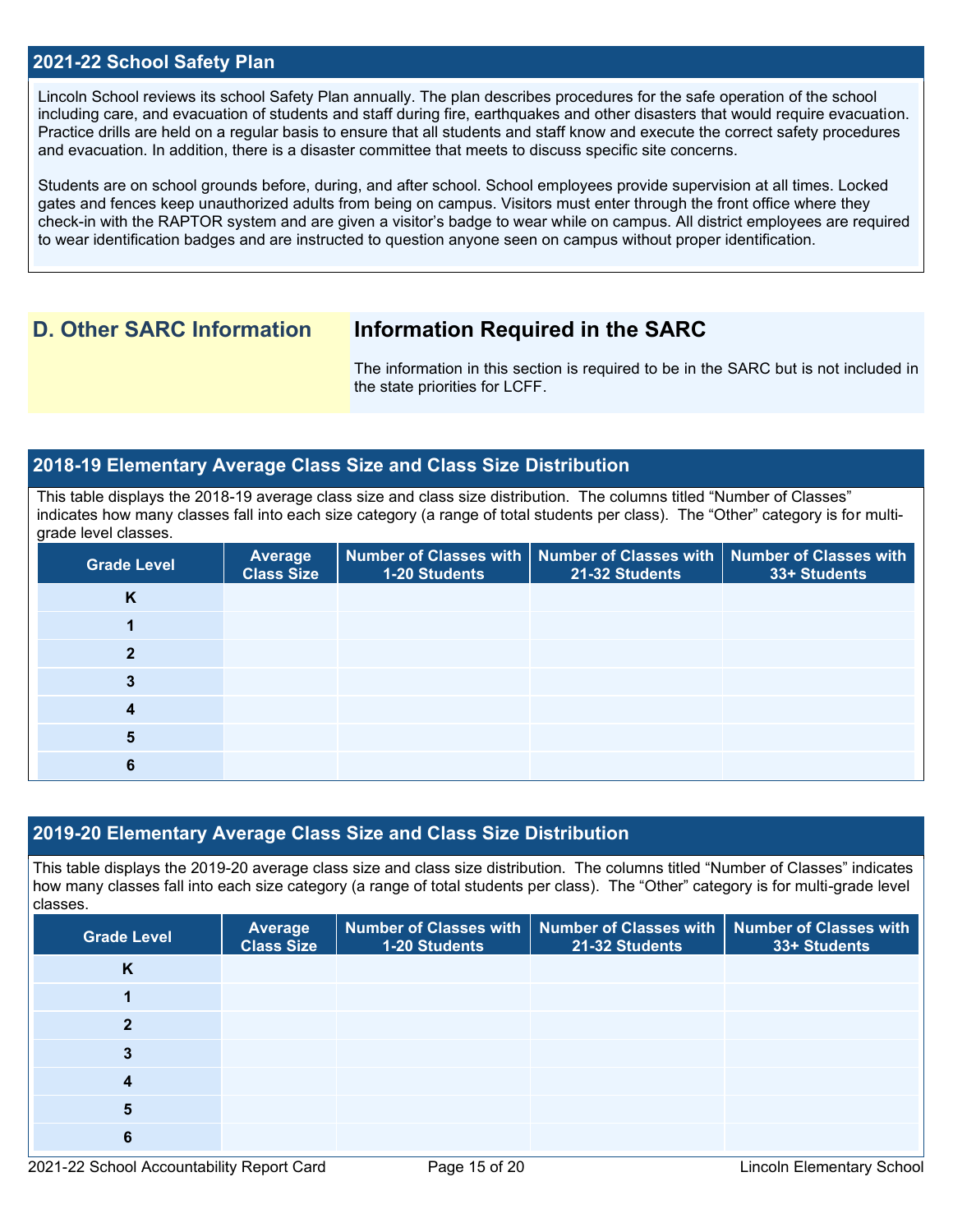#### **2021-22 School Safety Plan**

Lincoln School reviews its school Safety Plan annually. The plan describes procedures for the safe operation of the school including care, and evacuation of students and staff during fire, earthquakes and other disasters that would require evacuation. Practice drills are held on a regular basis to ensure that all students and staff know and execute the correct safety procedures and evacuation. In addition, there is a disaster committee that meets to discuss specific site concerns.

Students are on school grounds before, during, and after school. School employees provide supervision at all times. Locked gates and fences keep unauthorized adults from being on campus. Visitors must enter through the front office where they check-in with the RAPTOR system and are given a visitor's badge to wear while on campus. All district employees are required to wear identification badges and are instructed to question anyone seen on campus without proper identification.

# **D. Other SARC Information Information Required in the SARC**

The information in this section is required to be in the SARC but is not included in the state priorities for LCFF.

#### **2018-19 Elementary Average Class Size and Class Size Distribution**

This table displays the 2018-19 average class size and class size distribution. The columns titled "Number of Classes" indicates how many classes fall into each size category (a range of total students per class). The "Other" category is for multigrade level classes.

| <b>Grade Level</b> | Average<br><b>Class Size</b> | 1-20 Students | Number of Classes with   Number of Classes with   Number of Classes with<br>21-32 Students | 33+ Students |
|--------------------|------------------------------|---------------|--------------------------------------------------------------------------------------------|--------------|
| K                  |                              |               |                                                                                            |              |
|                    |                              |               |                                                                                            |              |
| ∍                  |                              |               |                                                                                            |              |
| 3                  |                              |               |                                                                                            |              |
|                    |                              |               |                                                                                            |              |
| 5                  |                              |               |                                                                                            |              |
| 6                  |                              |               |                                                                                            |              |

#### **2019-20 Elementary Average Class Size and Class Size Distribution**

This table displays the 2019-20 average class size and class size distribution. The columns titled "Number of Classes" indicates how many classes fall into each size category (a range of total students per class). The "Other" category is for multi-grade level classes.

| <b>Grade Level</b> | <b>Average</b><br><b>Class Size</b> | 1-20 Students | Number of Classes with   Number of Classes with  <br>21-32 Students | <b>Number of Classes with</b><br>33+ Students |
|--------------------|-------------------------------------|---------------|---------------------------------------------------------------------|-----------------------------------------------|
| K                  |                                     |               |                                                                     |                                               |
|                    |                                     |               |                                                                     |                                               |
| ≘                  |                                     |               |                                                                     |                                               |
| 3                  |                                     |               |                                                                     |                                               |
| 4                  |                                     |               |                                                                     |                                               |
| 5                  |                                     |               |                                                                     |                                               |
| 6                  |                                     |               |                                                                     |                                               |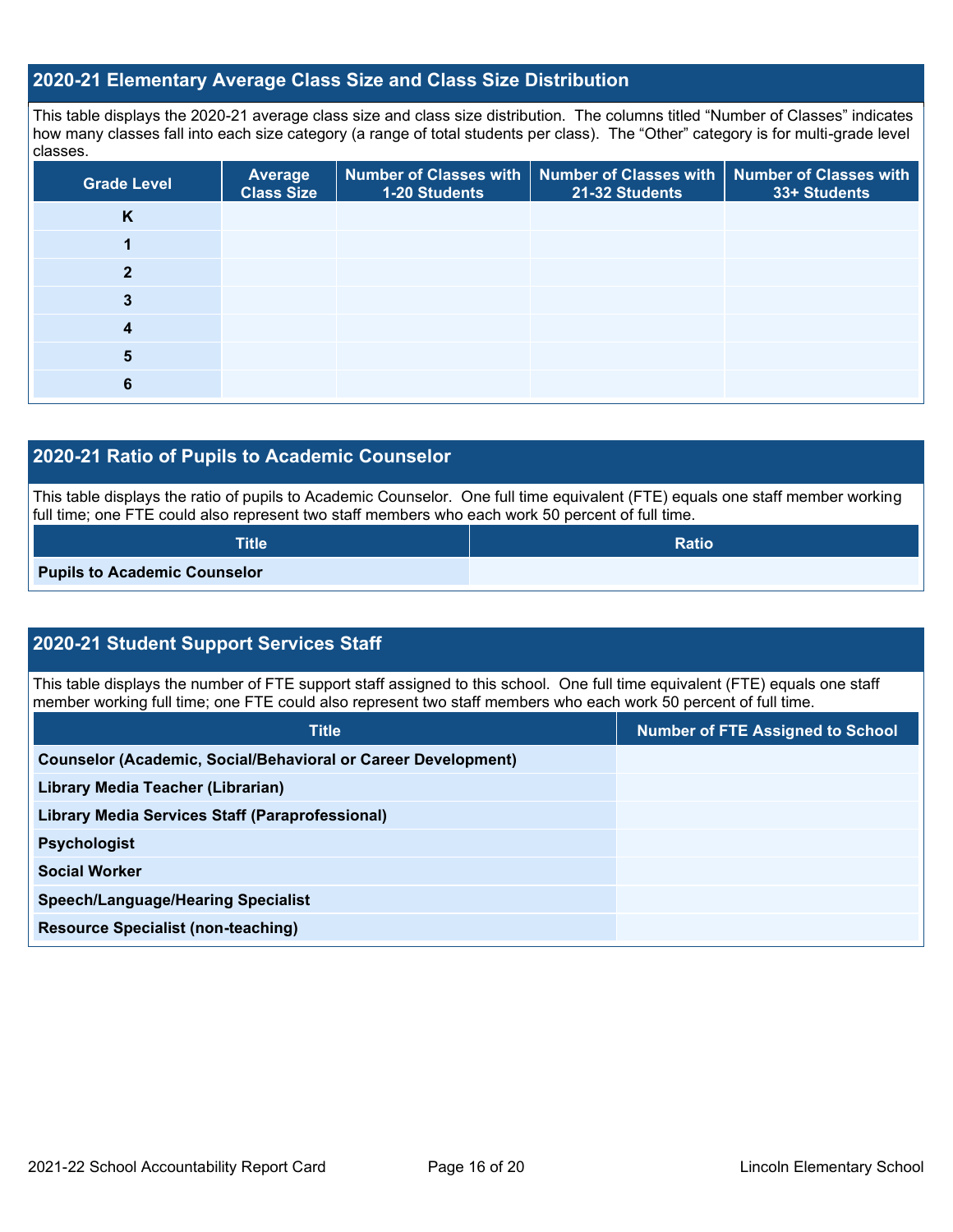# **2020-21 Elementary Average Class Size and Class Size Distribution**

This table displays the 2020-21 average class size and class size distribution. The columns titled "Number of Classes" indicates how many classes fall into each size category (a range of total students per class). The "Other" category is for multi-grade level classes.

| <b>Grade Level</b> | Average<br><b>Class Size</b> | 1-20 Students | Number of Classes with   Number of Classes with   Number of Classes with<br>21-32 Students | 33+ Students |
|--------------------|------------------------------|---------------|--------------------------------------------------------------------------------------------|--------------|
| K                  |                              |               |                                                                                            |              |
|                    |                              |               |                                                                                            |              |
| $\mathbf{2}$       |                              |               |                                                                                            |              |
| 3                  |                              |               |                                                                                            |              |
| 4                  |                              |               |                                                                                            |              |
| 5                  |                              |               |                                                                                            |              |
| 6                  |                              |               |                                                                                            |              |

## **2020-21 Ratio of Pupils to Academic Counselor**

This table displays the ratio of pupils to Academic Counselor. One full time equivalent (FTE) equals one staff member working full time; one FTE could also represent two staff members who each work 50 percent of full time.

| <b>Title</b>                        | <b>Ratio</b> |
|-------------------------------------|--------------|
| <b>Pupils to Academic Counselor</b> |              |

# **2020-21 Student Support Services Staff**

This table displays the number of FTE support staff assigned to this school. One full time equivalent (FTE) equals one staff member working full time; one FTE could also represent two staff members who each work 50 percent of full time.

| <b>Title</b>                                                         | <b>Number of FTE Assigned to School</b> |
|----------------------------------------------------------------------|-----------------------------------------|
| <b>Counselor (Academic, Social/Behavioral or Career Development)</b> |                                         |
| Library Media Teacher (Librarian)                                    |                                         |
| <b>Library Media Services Staff (Paraprofessional)</b>               |                                         |
| <b>Psychologist</b>                                                  |                                         |
| <b>Social Worker</b>                                                 |                                         |
| <b>Speech/Language/Hearing Specialist</b>                            |                                         |
| <b>Resource Specialist (non-teaching)</b>                            |                                         |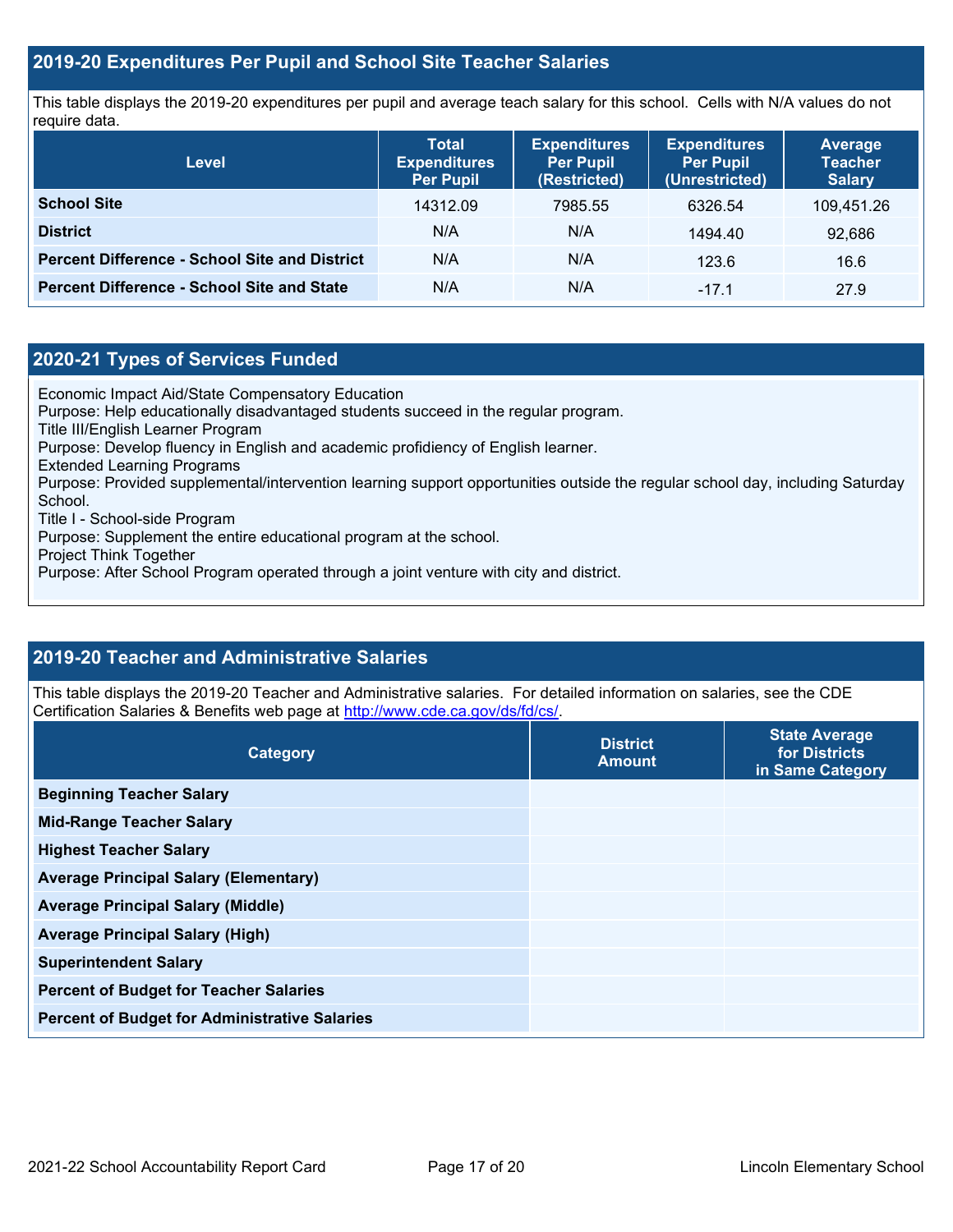### **2019-20 Expenditures Per Pupil and School Site Teacher Salaries**

This table displays the 2019-20 expenditures per pupil and average teach salary for this school. Cells with N/A values do not require data.

| <b>Level</b>                                         | <b>Total</b><br><b>Expenditures</b><br><b>Per Pupil</b> | <b>Expenditures</b><br><b>Per Pupil</b><br>(Restricted) | <b>Expenditures</b><br><b>Per Pupil</b><br>(Unrestricted) | <b>Average</b><br><b>Teacher</b><br><b>Salary</b> |
|------------------------------------------------------|---------------------------------------------------------|---------------------------------------------------------|-----------------------------------------------------------|---------------------------------------------------|
| <b>School Site</b>                                   | 14312.09                                                | 7985.55                                                 | 6326.54                                                   | 109,451.26                                        |
| <b>District</b>                                      | N/A                                                     | N/A                                                     | 1494.40                                                   | 92,686                                            |
| <b>Percent Difference - School Site and District</b> | N/A                                                     | N/A                                                     | 123.6                                                     | 16.6                                              |
| <b>Percent Difference - School Site and State</b>    | N/A                                                     | N/A                                                     | $-17.1$                                                   | 27.9                                              |

#### **2020-21 Types of Services Funded**

Economic Impact Aid/State Compensatory Education

Purpose: Help educationally disadvantaged students succeed in the regular program.

Title III/English Learner Program

Purpose: Develop fluency in English and academic profidiency of English learner.

Extended Learning Programs

Purpose: Provided supplemental/intervention learning support opportunities outside the regular school day, including Saturday School.

Title I - School-side Program

Purpose: Supplement the entire educational program at the school.

Project Think Together

Purpose: After School Program operated through a joint venture with city and district.

### **2019-20 Teacher and Administrative Salaries**

This table displays the 2019-20 Teacher and Administrative salaries. For detailed information on salaries, see the CDE Certification Salaries & Benefits web page at [http://www.cde.ca.gov/ds/fd/cs/.](http://www.cde.ca.gov/ds/fd/cs/)

| Category                                             | <b>District</b><br><b>Amount</b> | <b>State Average</b><br>for Districts<br>in Same Category |
|------------------------------------------------------|----------------------------------|-----------------------------------------------------------|
| <b>Beginning Teacher Salary</b>                      |                                  |                                                           |
| <b>Mid-Range Teacher Salary</b>                      |                                  |                                                           |
| <b>Highest Teacher Salary</b>                        |                                  |                                                           |
| <b>Average Principal Salary (Elementary)</b>         |                                  |                                                           |
| <b>Average Principal Salary (Middle)</b>             |                                  |                                                           |
| <b>Average Principal Salary (High)</b>               |                                  |                                                           |
| <b>Superintendent Salary</b>                         |                                  |                                                           |
| <b>Percent of Budget for Teacher Salaries</b>        |                                  |                                                           |
| <b>Percent of Budget for Administrative Salaries</b> |                                  |                                                           |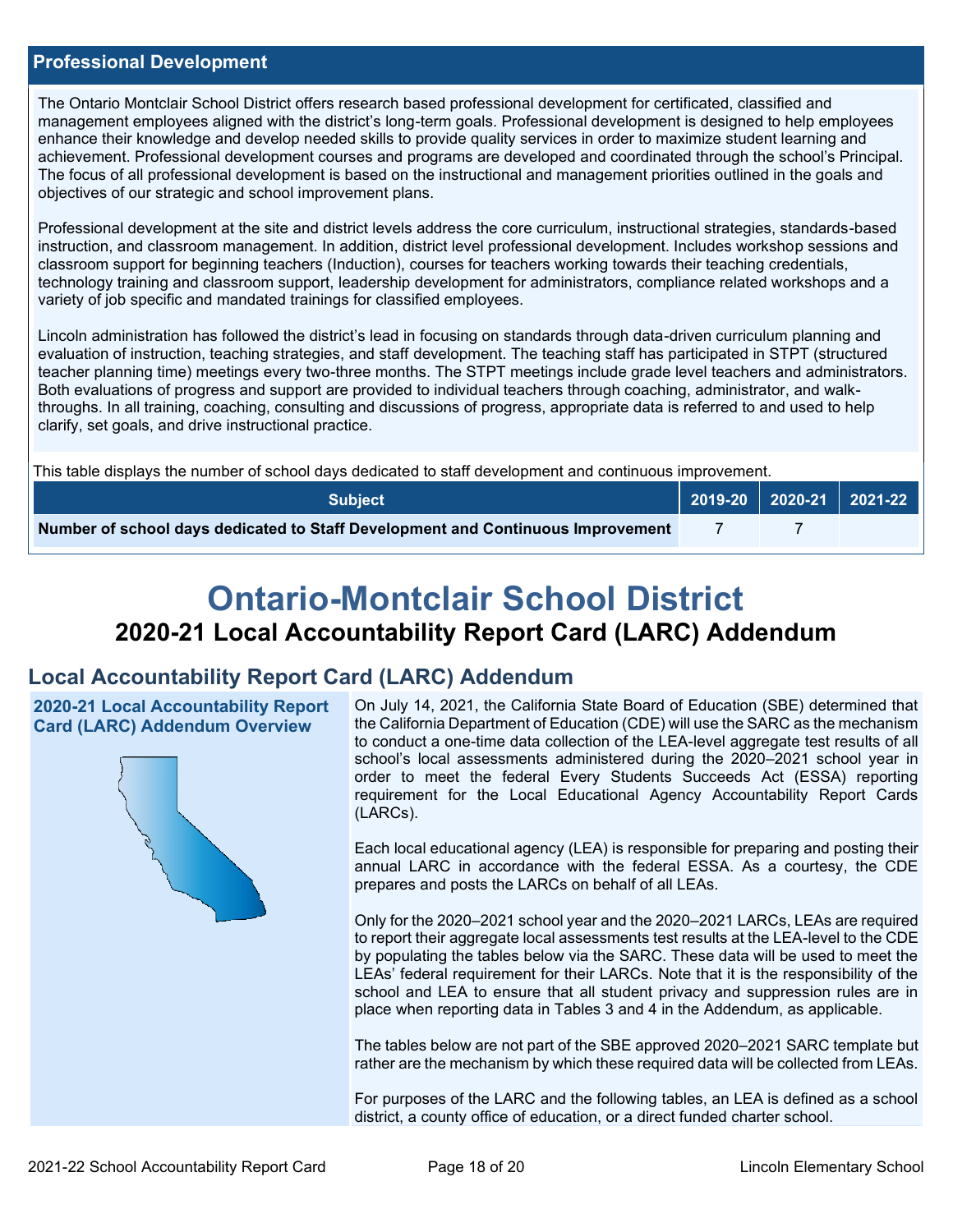#### **Professional Development**

The Ontario Montclair School District offers research based professional development for certificated, classified and management employees aligned with the district's long-term goals. Professional development is designed to help employees enhance their knowledge and develop needed skills to provide quality services in order to maximize student learning and achievement. Professional development courses and programs are developed and coordinated through the school's Principal. The focus of all professional development is based on the instructional and management priorities outlined in the goals and objectives of our strategic and school improvement plans.

Professional development at the site and district levels address the core curriculum, instructional strategies, standards-based instruction, and classroom management. In addition, district level professional development. Includes workshop sessions and classroom support for beginning teachers (Induction), courses for teachers working towards their teaching credentials, technology training and classroom support, leadership development for administrators, compliance related workshops and a variety of job specific and mandated trainings for classified employees.

Lincoln administration has followed the district's lead in focusing on standards through data-driven curriculum planning and evaluation of instruction, teaching strategies, and staff development. The teaching staff has participated in STPT (structured teacher planning time) meetings every two-three months. The STPT meetings include grade level teachers and administrators. Both evaluations of progress and support are provided to individual teachers through coaching, administrator, and walkthroughs. In all training, coaching, consulting and discussions of progress, appropriate data is referred to and used to help clarify, set goals, and drive instructional practice.

This table displays the number of school days dedicated to staff development and continuous improvement.

| <b>Subject</b>                                                                  | $\bigcup$ 2019-20 2020-21 2021-22 |  |
|---------------------------------------------------------------------------------|-----------------------------------|--|
| Number of school days dedicated to Staff Development and Continuous Improvement |                                   |  |

# **Ontario-Montclair School District 2020-21 Local Accountability Report Card (LARC) Addendum**

# **Local Accountability Report Card (LARC) Addendum**

**2020-21 Local Accountability Report Card (LARC) Addendum Overview**



On July 14, 2021, the California State Board of Education (SBE) determined that the California Department of Education (CDE) will use the SARC as the mechanism to conduct a one-time data collection of the LEA-level aggregate test results of all school's local assessments administered during the 2020–2021 school year in order to meet the federal Every Students Succeeds Act (ESSA) reporting requirement for the Local Educational Agency Accountability Report Cards (LARCs).

Each local educational agency (LEA) is responsible for preparing and posting their annual LARC in accordance with the federal ESSA. As a courtesy, the CDE prepares and posts the LARCs on behalf of all LEAs.

Only for the 2020–2021 school year and the 2020–2021 LARCs, LEAs are required to report their aggregate local assessments test results at the LEA-level to the CDE by populating the tables below via the SARC. These data will be used to meet the LEAs' federal requirement for their LARCs. Note that it is the responsibility of the school and LEA to ensure that all student privacy and suppression rules are in place when reporting data in Tables 3 and 4 in the Addendum, as applicable.

The tables below are not part of the SBE approved 2020–2021 SARC template but rather are the mechanism by which these required data will be collected from LEAs.

For purposes of the LARC and the following tables, an LEA is defined as a school district, a county office of education, or a direct funded charter school.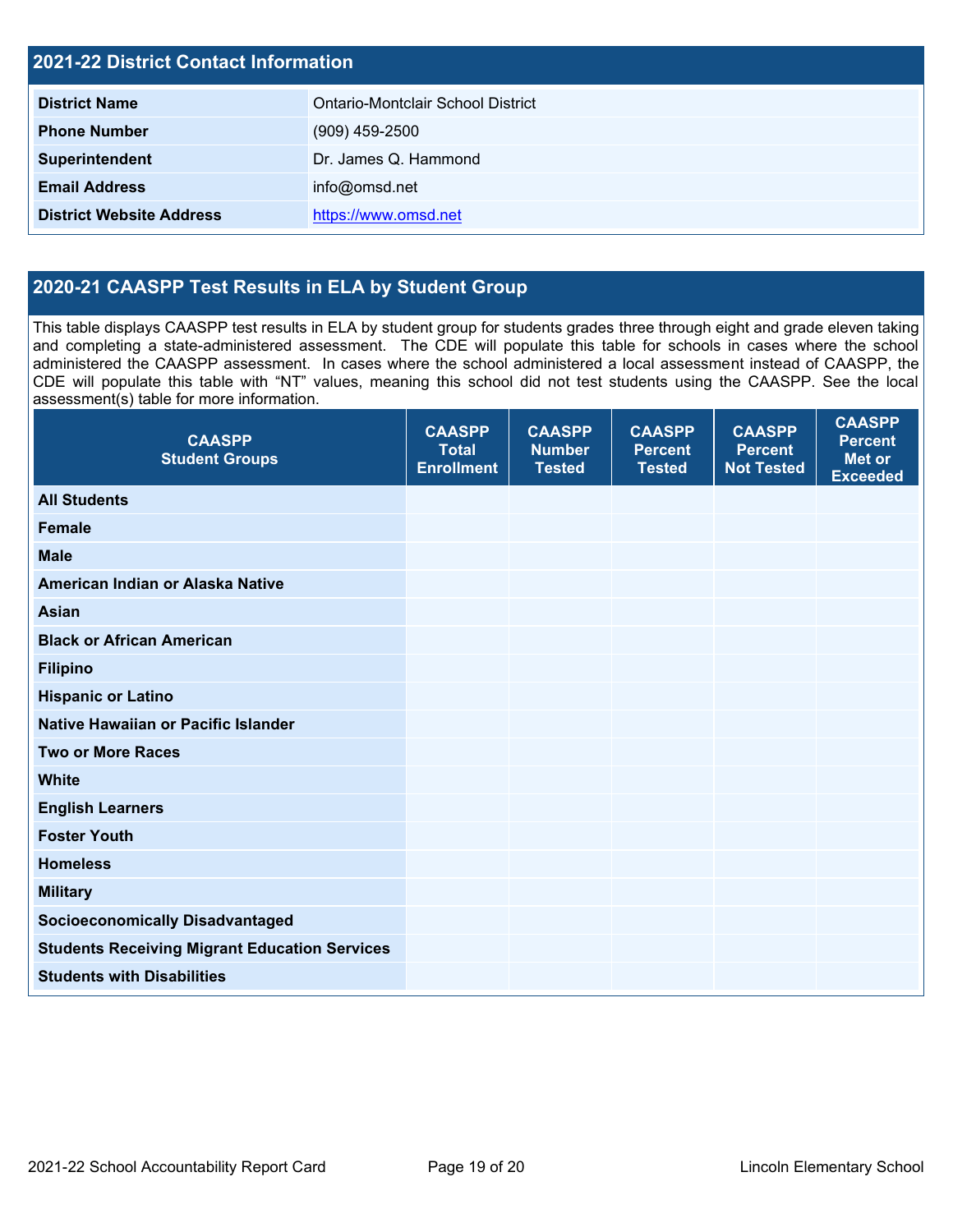| <b>2021-22 District Contact Information</b> |                                   |  |  |  |
|---------------------------------------------|-----------------------------------|--|--|--|
| <b>District Name</b>                        | Ontario-Montclair School District |  |  |  |
| <b>Phone Number</b>                         | $(909)$ 459-2500                  |  |  |  |
| Superintendent                              | Dr. James Q. Hammond              |  |  |  |
| <b>Email Address</b>                        | info@omsd.net                     |  |  |  |
| <b>District Website Address</b>             | https://www.omsd.net              |  |  |  |

# **2020-21 CAASPP Test Results in ELA by Student Group**

This table displays CAASPP test results in ELA by student group for students grades three through eight and grade eleven taking and completing a state-administered assessment. The CDE will populate this table for schools in cases where the school administered the CAASPP assessment. In cases where the school administered a local assessment instead of CAASPP, the CDE will populate this table with "NT" values, meaning this school did not test students using the CAASPP. See the local assessment(s) table for more information.

| <b>CAASPP</b><br><b>Student Groups</b>               | <b>CAASPP</b><br><b>Total</b><br><b>Enrollment</b> | <b>CAASPP</b><br><b>Number</b><br><b>Tested</b> | <b>CAASPP</b><br><b>Percent</b><br><b>Tested</b> | <b>CAASPP</b><br><b>Percent</b><br><b>Not Tested</b> | <b>CAASPP</b><br><b>Percent</b><br><b>Met or</b><br><b>Exceeded</b> |
|------------------------------------------------------|----------------------------------------------------|-------------------------------------------------|--------------------------------------------------|------------------------------------------------------|---------------------------------------------------------------------|
| <b>All Students</b>                                  |                                                    |                                                 |                                                  |                                                      |                                                                     |
| <b>Female</b>                                        |                                                    |                                                 |                                                  |                                                      |                                                                     |
| <b>Male</b>                                          |                                                    |                                                 |                                                  |                                                      |                                                                     |
| American Indian or Alaska Native                     |                                                    |                                                 |                                                  |                                                      |                                                                     |
| <b>Asian</b>                                         |                                                    |                                                 |                                                  |                                                      |                                                                     |
| <b>Black or African American</b>                     |                                                    |                                                 |                                                  |                                                      |                                                                     |
| <b>Filipino</b>                                      |                                                    |                                                 |                                                  |                                                      |                                                                     |
| <b>Hispanic or Latino</b>                            |                                                    |                                                 |                                                  |                                                      |                                                                     |
| Native Hawaiian or Pacific Islander                  |                                                    |                                                 |                                                  |                                                      |                                                                     |
| <b>Two or More Races</b>                             |                                                    |                                                 |                                                  |                                                      |                                                                     |
| <b>White</b>                                         |                                                    |                                                 |                                                  |                                                      |                                                                     |
| <b>English Learners</b>                              |                                                    |                                                 |                                                  |                                                      |                                                                     |
| <b>Foster Youth</b>                                  |                                                    |                                                 |                                                  |                                                      |                                                                     |
| <b>Homeless</b>                                      |                                                    |                                                 |                                                  |                                                      |                                                                     |
| <b>Military</b>                                      |                                                    |                                                 |                                                  |                                                      |                                                                     |
| <b>Socioeconomically Disadvantaged</b>               |                                                    |                                                 |                                                  |                                                      |                                                                     |
| <b>Students Receiving Migrant Education Services</b> |                                                    |                                                 |                                                  |                                                      |                                                                     |
| <b>Students with Disabilities</b>                    |                                                    |                                                 |                                                  |                                                      |                                                                     |